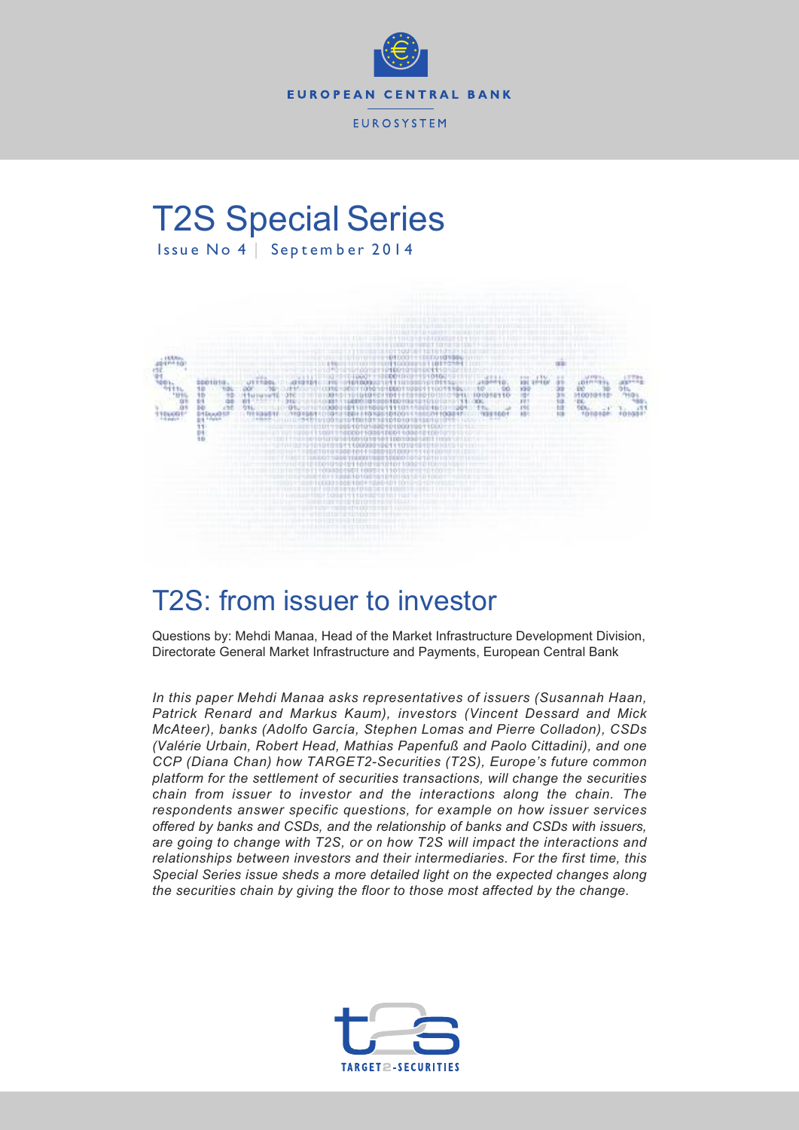

# T2S Special Series Issue No 4 | September 2014



# T2S: from issuer to investor

Questions by: Mehdi Manaa, Head of the Market Infrastructure Development Division, Directorate General Market Infrastructure and Payments, European Central Bank

*In this paper Mehdi Manaa asks representatives of issuers (Susannah Haan, Patrick Renard and Markus Kaum), investors (Vincent Dessard and Mick McAteer), banks (Adolfo García, Stephen Lomas and Pierre Colladon), CSDs (Valérie Urbain, Robert Head, Mathias Papenfuß and Paolo Cittadini), and one CCP (Diana Chan) how TARGET2-Securities (T2S), Europe's future common platform for the settlement of securities transactions, will change the securities chain from issuer to investor and the interactions along the chain. The respondents answer specific questions, for example on how issuer services offered by banks and CSDs, and the relationship of banks and CSDs with issuers, are going to change with T2S, or on how T2S will impact the interactions and relationships between investors and their intermediaries. For the first time, this Special Series issue sheds a more detailed light on the expected changes along the securities chain by giving the floor to those most affected by the change.*

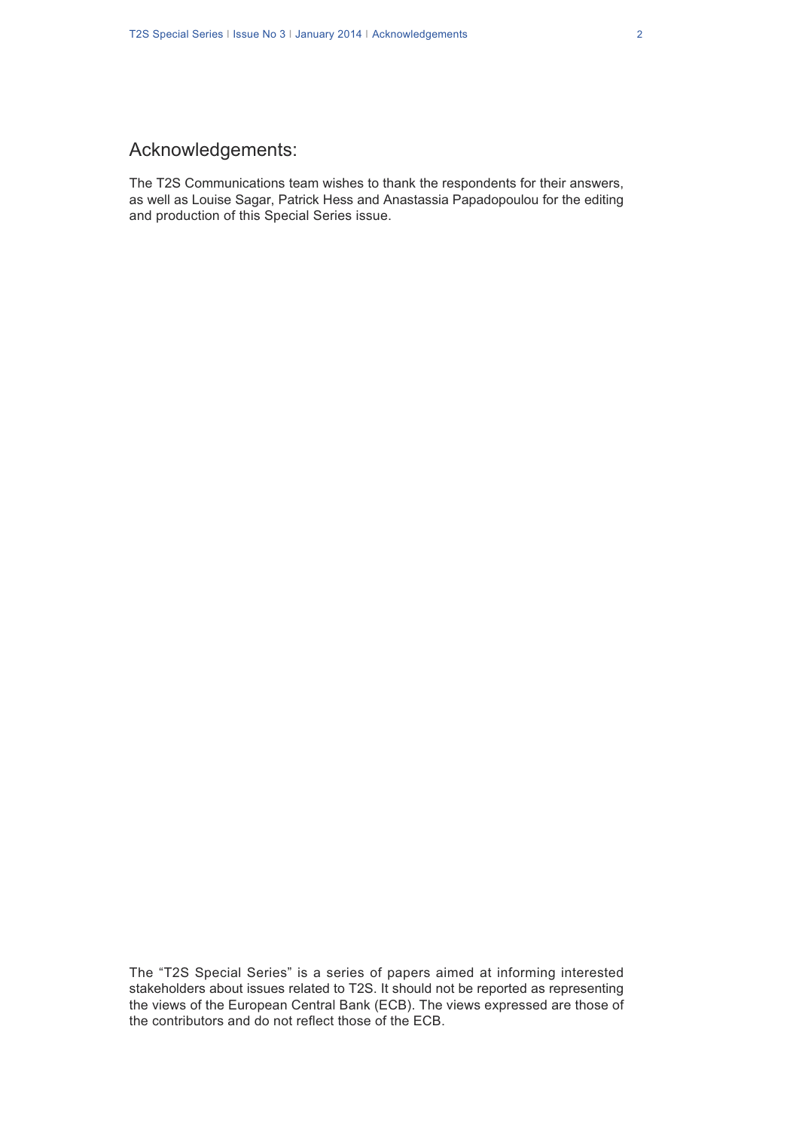# Acknowledgements:

The T2S Communications team wishes to thank the respondents for their answers, as well as Louise Sagar, Patrick Hess and Anastassia Papadopoulou for the editing and production of this Special Series issue.

The "T2S Special Series" is a series of papers aimed at informing interested stakeholders about issues related to T2S. It should not be reported as representing the views of the European Central Bank (ECB). The views expressed are those of the contributors and do not reflect those of the ECB.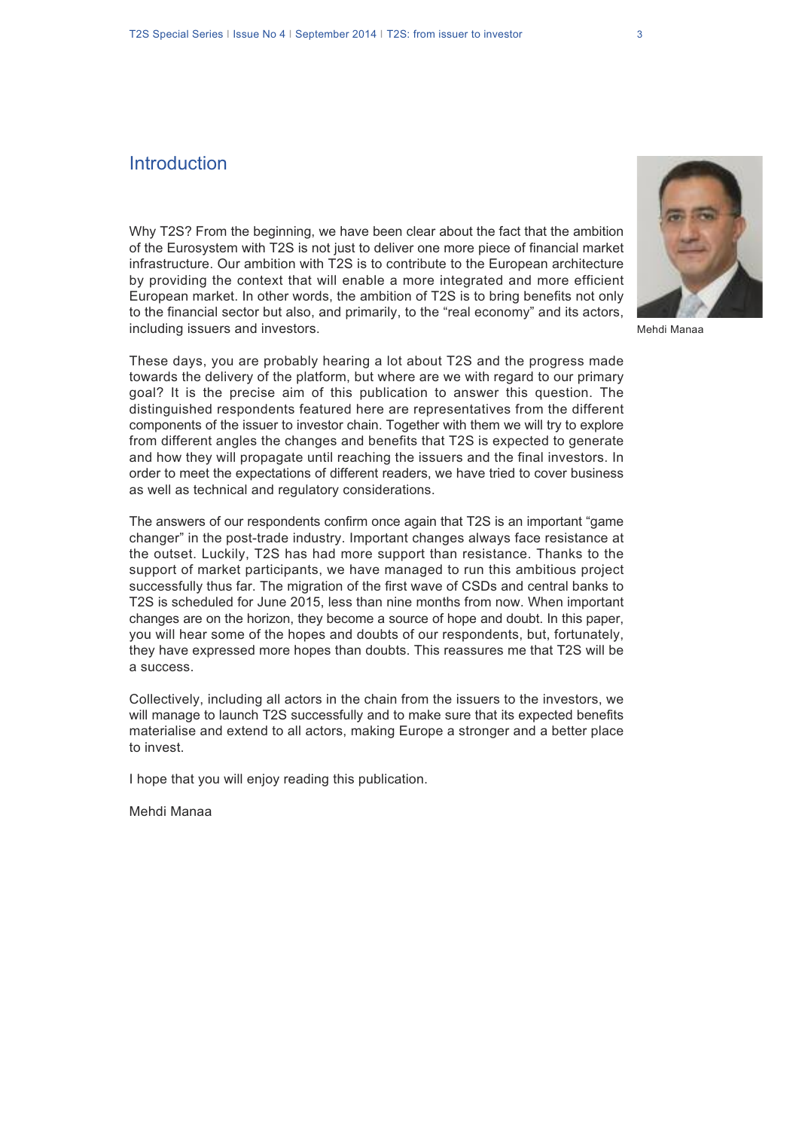### **Introduction**

Why T2S? From the beginning, we have been clear about the fact that the ambition of the Eurosystem with T2S is not just to deliver one more piece of financial market infrastructure. Our ambition with T2S is to contribute to the European architecture by providing the context that will enable a more integrated and more efficient European market. In other words, the ambition of T2S is to bring benefits not only to the financial sector but also, and primarily, to the "real economy" and its actors, including issuers and investors.

These days, you are probably hearing a lot about T2S and the progress made towards the delivery of the platform, but where are we with regard to our primary goal? It is the precise aim of this publication to answer this question. The distinguished respondents featured here are representatives from the different components of the issuer to investor chain. Together with them we will try to explore from different angles the changes and benefits that T2S is expected to generate and how they will propagate until reaching the issuers and the final investors. In order to meet the expectations of different readers, we have tried to cover business as well as technical and regulatory considerations.

The answers of our respondents confirm once again that T2S is an important "game changer" in the post-trade industry. Important changes always face resistance at the outset. Luckily, T2S has had more support than resistance. Thanks to the support of market participants, we have managed to run this ambitious project successfully thus far. The migration of the first wave of CSDs and central banks to T2S is scheduled for June 2015, less than nine months from now. When important changes are on the horizon, they become a source of hope and doubt. In this paper, you will hear some of the hopes and doubts of our respondents, but, fortunately, they have expressed more hopes than doubts. This reassures me that T2S will be a success.

Collectively, including all actors in the chain from the issuers to the investors, we will manage to launch T2S successfully and to make sure that its expected benefits materialise and extend to all actors, making Europe a stronger and a better place to invest.

I hope that you will enjoy reading this publication.

Mehdi Manaa



Mehdi Manaa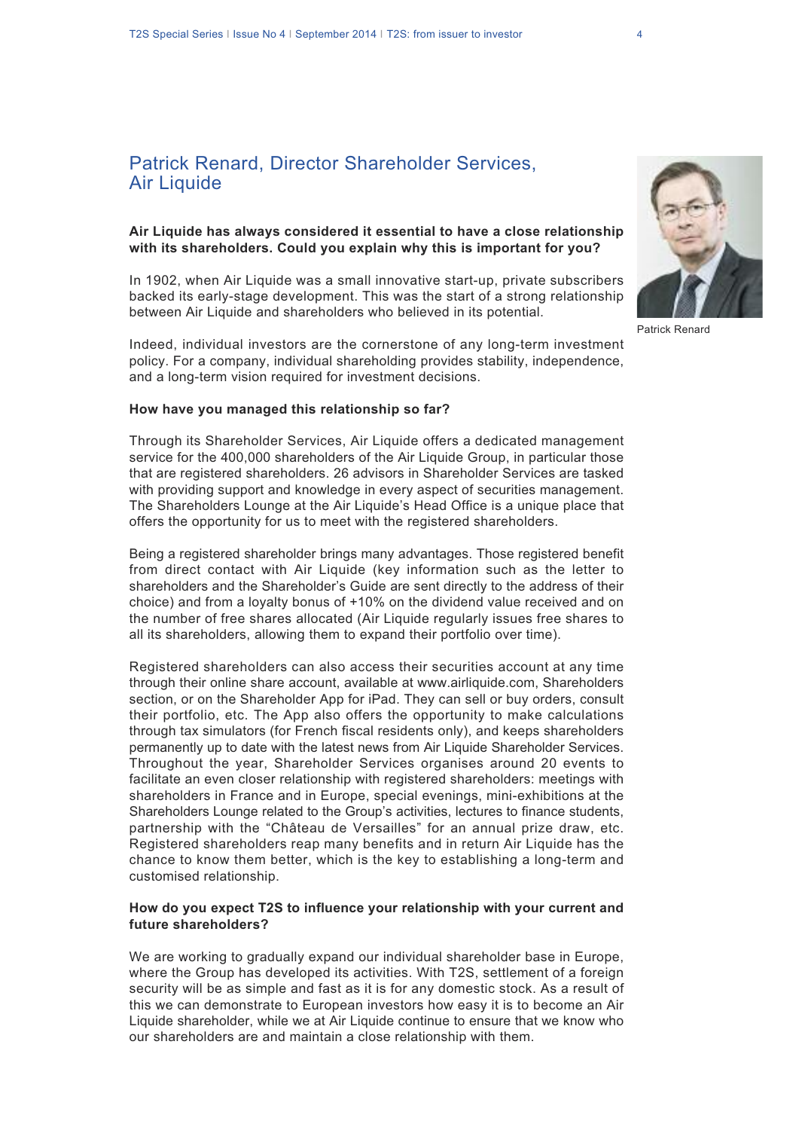### Patrick Renard, Director Shareholder Services, **Air Liquide**

#### **Air Liquide has always considered it essential to have a close relationship with its shareholders. Could you explain why this is important for you?**

In 1902, when Air Liquide was a small innovative start-up, private subscribers backed its early-stage development. This was the start of a strong relationship between Air Liquide and shareholders who believed in its potential.

Indeed, individual investors are the cornerstone of any long-term investment policy. For a company, individual shareholding provides stability, independence, and a long-term vision required for investment decisions.

#### **How have you managed this relationship so far?**

Through its Shareholder Services, Air Liquide offers a dedicated management service for the 400,000 shareholders of the Air Liquide Group, in particular those that are registered shareholders. 26 advisors in Shareholder Services are tasked with providing support and knowledge in every aspect of securities management. The Shareholders Lounge at the Air Liquide's Head Office is a unique place that offers the opportunity for us to meet with the registered shareholders.

Being a registered shareholder brings many advantages. Those registered benefit from direct contact with Air Liquide (key information such as the letter to shareholders and the Shareholder's Guide are sent directly to the address of their choice) and from a loyalty bonus of +10% on the dividend value received and on the number of free shares allocated (Air Liquide regularly issues free shares to all its shareholders, allowing them to expand their portfolio over time).

Registered shareholders can also access their securities account at any time through their online share account, available at www.airliquide.com, Shareholders section, or on the Shareholder App for iPad. They can sell or buy orders, consult their portfolio, etc. The App also offers the opportunity to make calculations through tax simulators (for French fiscal residents only), and keeps shareholders permanently up to date with the latest news from Air Liquide Shareholder Services. Throughout the year, Shareholder Services organises around 20 events to facilitate an even closer relationship with registered shareholders: meetings with shareholders in France and in Europe, special evenings, mini-exhibitions at the Shareholders Lounge related to the Group's activities, lectures to finance students, partnership with the "Château de Versailles" for an annual prize draw, etc. Registered shareholders reap many benefits and in return Air Liquide has the chance to know them better, which is the key to establishing a long-term and customised relationship.

#### **How do you expect T2S to influence your relationship with your current and future shareholders?**

We are working to gradually expand our individual shareholder base in Europe, where the Group has developed its activities. With T2S, settlement of a foreign security will be as simple and fast as it is for any domestic stock. As a result of this we can demonstrate to European investors how easy it is to become an Air Liquide shareholder, while we at Air Liquide continue to ensure that we know who our shareholders are and maintain a close relationship with them.



Patrick Renard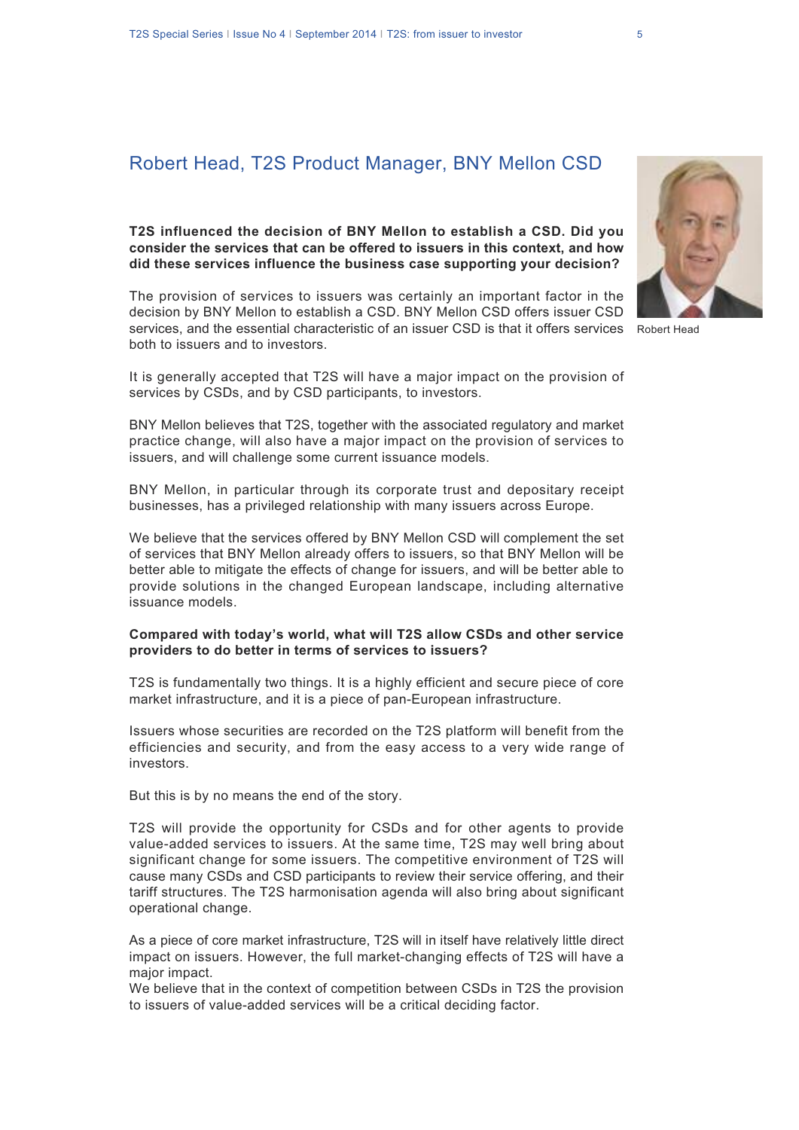# Robert Head, T2S Product Manager, BNY Mellon CSD

### **T2S influenced the decision of BNY Mellon to establish a CSD. Did you consider the services that can be offered to issuers in this context, and how did these services influence the business case supporting your decision?**

The provision of services to issuers was certainly an important factor in the decision by BNY Mellon to establish a CSD. BNY Mellon CSD offers issuer CSD services, and the essential characteristic of an issuer CSD is that it offers services Robert Headboth to issuers and to investors.

It is generally accepted that T2S will have a major impact on the provision of services by CSDs, and by CSD participants, to investors.

BNY Mellon believes that T2S, together with the associated regulatory and market practice change, will also have a major impact on the provision of services to issuers, and will challenge some current issuance models.

BNY Mellon, in particular through its corporate trust and depositary receipt businesses, has a privileged relationship with many issuers across Europe.

We believe that the services offered by BNY Mellon CSD will complement the set of services that BNY Mellon already offers to issuers, so that BNY Mellon will be better able to mitigate the effects of change for issuers, and will be better able to provide solutions in the changed European landscape, including alternative issuance models.

#### **Compared with today's world, what will T2S allow CSDs and other service providers to do better in terms of services to issuers?**

T2S is fundamentally two things. It is a highly efficient and secure piece of core market infrastructure, and it is a piece of pan-European infrastructure.

Issuers whose securities are recorded on the T2S platform will benefit from the efficiencies and security, and from the easy access to a very wide range of investors.

But this is by no means the end of the story.

T2S will provide the opportunity for CSDs and for other agents to provide value-added services to issuers. At the same time, T2S may well bring about significant change for some issuers. The competitive environment of T2S will cause many CSDs and CSD participants to review their service offering, and their tariff structures. The T2S harmonisation agenda will also bring about significant operational change.

As a piece of core market infrastructure, T2S will in itself have relatively little direct impact on issuers. However, the full market-changing effects of T2S will have a major impact.

We believe that in the context of competition between CSDs in T2S the provision to issuers of value-added services will be a critical deciding factor.

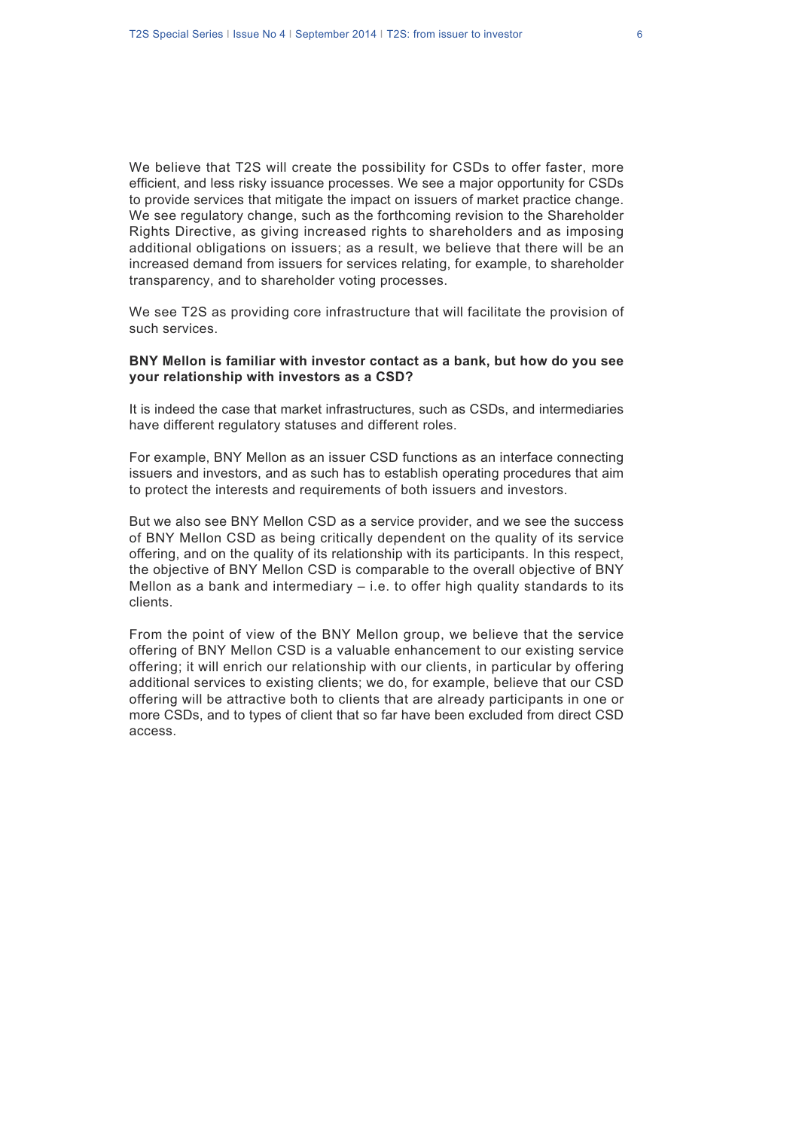We believe that T2S will create the possibility for CSDs to offer faster, more efficient, and less risky issuance processes. We see a major opportunity for CSDs to provide services that mitigate the impact on issuers of market practice change. We see regulatory change, such as the forthcoming revision to the Shareholder Rights Directive, as giving increased rights to shareholders and as imposing additional obligations on issuers; as a result, we believe that there will be an increased demand from issuers for services relating, for example, to shareholder transparency, and to shareholder voting processes.

We see T2S as providing core infrastructure that will facilitate the provision of such services.

#### **BNY Mellon is familiar with investor contact as a bank, but how do you see your relationship with investors as a CSD?**

It is indeed the case that market infrastructures, such as CSDs, and intermediaries have different regulatory statuses and different roles.

For example, BNY Mellon as an issuer CSD functions as an interface connecting issuers and investors, and as such has to establish operating procedures that aim to protect the interests and requirements of both issuers and investors.

But we also see BNY Mellon CSD as a service provider, and we see the success of BNY Mellon CSD as being critically dependent on the quality of its service offering, and on the quality of its relationship with its participants. In this respect, the objective of BNY Mellon CSD is comparable to the overall objective of BNY Mellon as a bank and intermediary  $-$  i.e. to offer high quality standards to its clients.

From the point of view of the BNY Mellon group, we believe that the service offering of BNY Mellon CSD is a valuable enhancement to our existing service offering; it will enrich our relationship with our clients, in particular by offering additional services to existing clients; we do, for example, believe that our CSD offering will be attractive both to clients that are already participants in one or more CSDs, and to types of client that so far have been excluded from direct CSD access.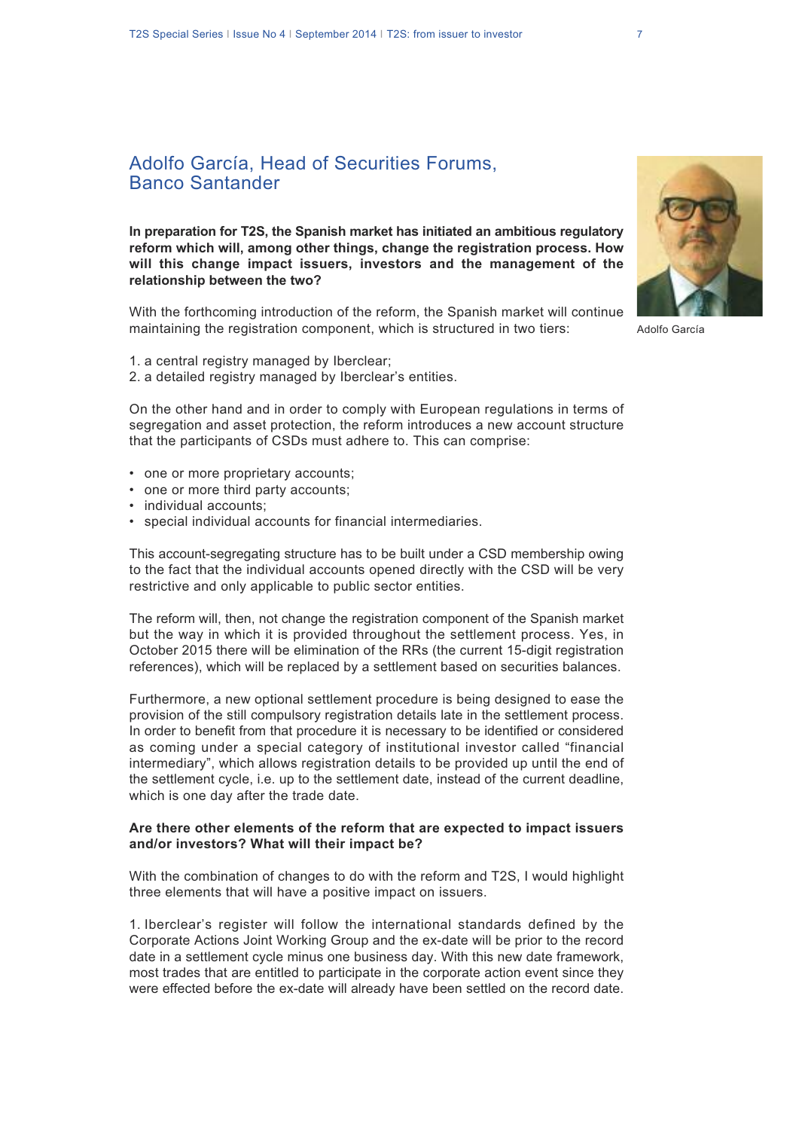### Adolfo García, Head of Securities Forums, Banco Santander

**In preparation for T2S, the Spanish market has initiated an ambitious regulatory reform which will, among other things, change the registration process. How will this change impact issuers, investors and the management of the relationship between the two?**

With the forthcoming introduction of the reform, the Spanish market will continue maintaining the registration component, which is structured in two tiers:

- 1. a central registry managed by Iberclear;
- 2. a detailed registry managed by Iberclear's entities.

On the other hand and in order to comply with European regulations in terms of segregation and asset protection, the reform introduces a new account structure that the participants of CSDs must adhere to. This can comprise:

- one or more proprietary accounts;
- one or more third party accounts;
- individual accounts;
- special individual accounts for financial intermediaries.

This account-segregating structure has to be built under a CSD membership owing to the fact that the individual accounts opened directly with the CSD will be very restrictive and only applicable to public sector entities.

The reform will, then, not change the registration component of the Spanish market but the way in which it is provided throughout the settlement process. Yes, in October 2015 there will be elimination of the RRs (the current 15-digit registration references), which will be replaced by a settlement based on securities balances.

Furthermore, a new optional settlement procedure is being designed to ease the provision of the still compulsory registration details late in the settlement process. In order to benefit from that procedure it is necessary to be identified or considered as coming under a special category of institutional investor called "financial intermediary", which allows registration details to be provided up until the end of the settlement cycle, i.e. up to the settlement date, instead of the current deadline, which is one day after the trade date.

#### **Are there other elements of the reform that are expected to impact issuers and/or investors? What will their impact be?**

With the combination of changes to do with the reform and T2S, I would highlight three elements that will have a positive impact on issuers.

1. Iberclear's register will follow the international standards defined by the Corporate Actions Joint Working Group and the ex-date will be prior to the record date in a settlement cycle minus one business day. With this new date framework, most trades that are entitled to participate in the corporate action event since they were effected before the ex-date will already have been settled on the record date.



Adolfo García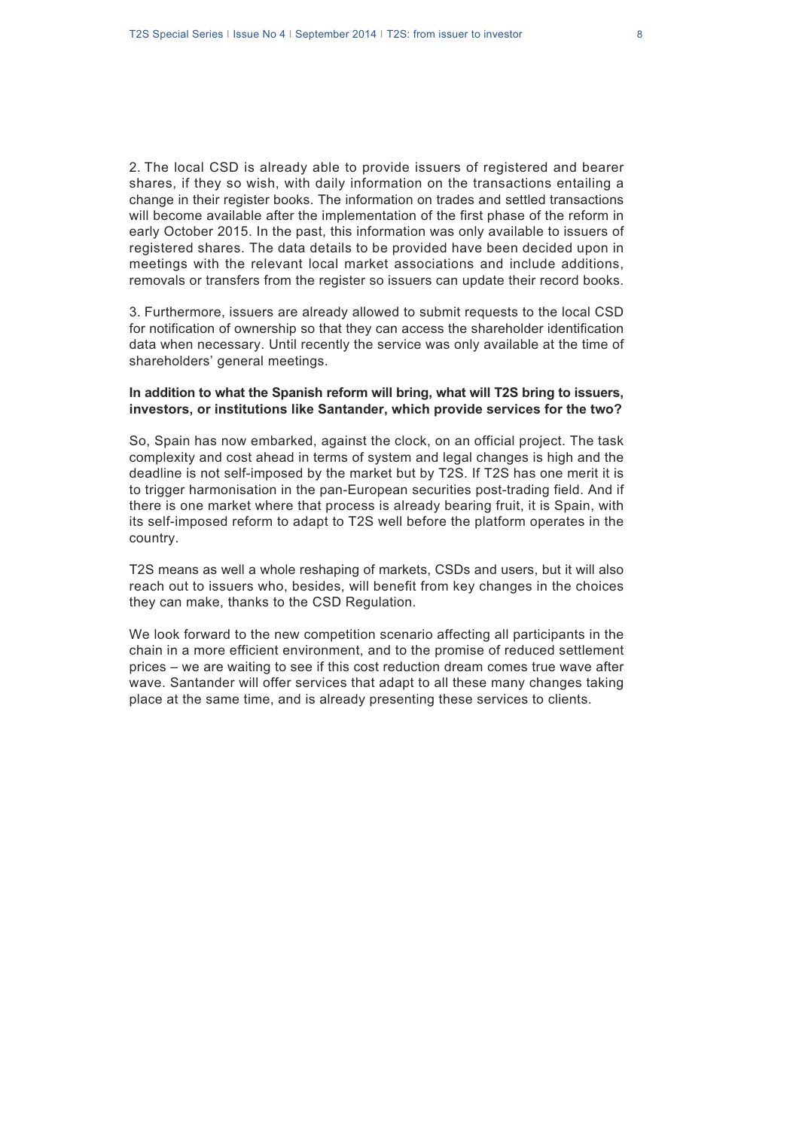2. The local CSD is already able to provide issuers of registered and bearer shares, if they so wish, with daily information on the transactions entailing a change in their register books. The information on trades and settled transactions will become available after the implementation of the first phase of the reform in early October 2015. In the past, this information was only available to issuers of registered shares. The data details to be provided have been decided upon in meetings with the relevant local market associations and include additions, removals or transfers from the register so issuers can update their record books.

3. Furthermore, issuers are already allowed to submit requests to the local CSD for notification of ownership so that they can access the shareholder identification data when necessary. Until recently the service was only available at the time of shareholders' general meetings.

#### **In addition to what the Spanish reform will bring, what will T2S bring to issuers, investors, or institutions like Santander, which provide services for the two?**

So, Spain has now embarked, against the clock, on an official project. The task complexity and cost ahead in terms of system and legal changes is high and the deadline is not self-imposed by the market but by T2S. If T2S has one merit it is to trigger harmonisation in the pan-European securities post-trading field. And if there is one market where that process is already bearing fruit, it is Spain, with its self-imposed reform to adapt to T2S well before the platform operates in the country.

T2S means as well a whole reshaping of markets, CSDs and users, but it will also reach out to issuers who, besides, will benefit from key changes in the choices they can make, thanks to the CSD Regulation.

We look forward to the new competition scenario affecting all participants in the chain in a more efficient environment, and to the promise of reduced settlement prices – we are waiting to see if this cost reduction dream comes true wave after wave. Santander will offer services that adapt to all these many changes taking place at the same time, and is already presenting these services to clients.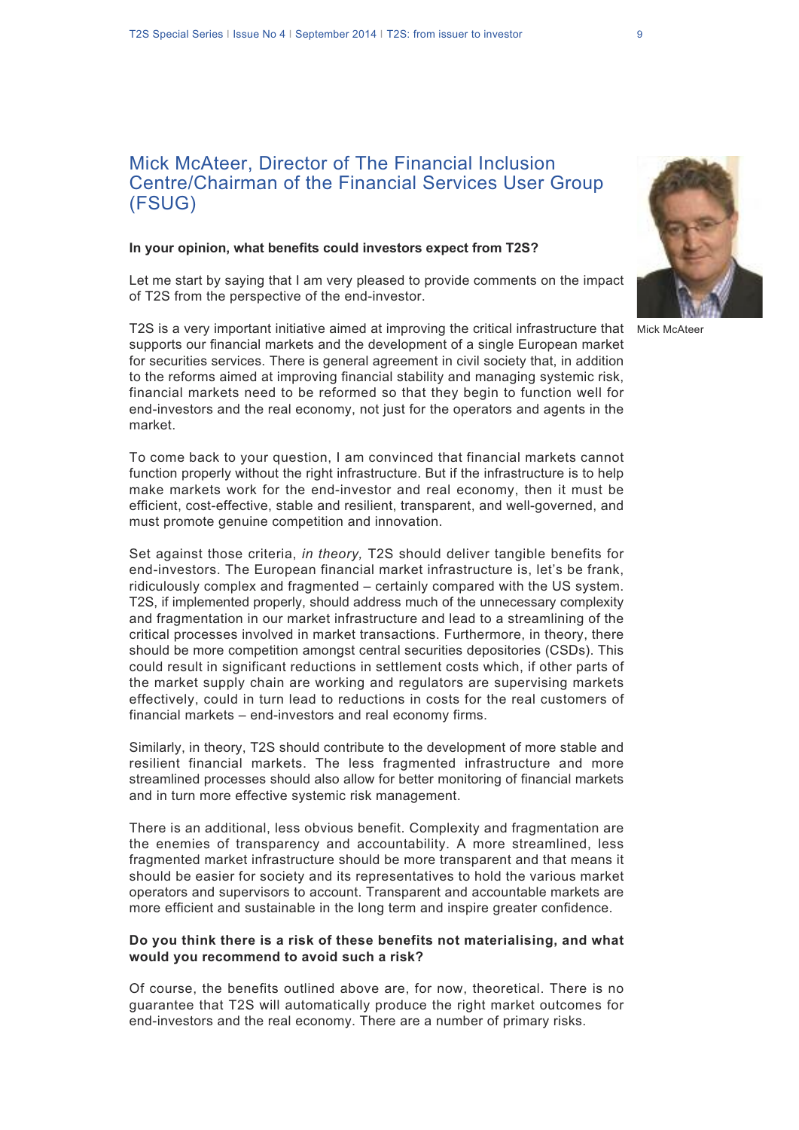# Mick McAteer, Director of The Financial Inclusion Centre/Chairman of the Financial Services User Group (FSUG)

#### **In your opinion, what benefits could investors expect from T2S?**

Let me start by saying that I am very pleased to provide comments on the impact of T2S from the perspective of the end-investor.

T2S is a very important initiative aimed at improving the critical infrastructure that Mick McAteersupports our financial markets and the development of a single European market for securities services. There is general agreement in civil society that, in addition to the reforms aimed at improving financial stability and managing systemic risk, financial markets need to be reformed so that they begin to function well for end-investors and the real economy, not just for the operators and agents in the market.

To come back to your question, I am convinced that financial markets cannot function properly without the right infrastructure. But if the infrastructure is to help make markets work for the end-investor and real economy, then it must be efficient, cost-effective, stable and resilient, transparent, and well-governed, and must promote genuine competition and innovation.

Set against those criteria, *in theory,* T2S should deliver tangible benefits for end-investors. The European financial market infrastructure is, let's be frank, ridiculously complex and fragmented – certainly compared with the US system. T2S, if implemented properly, should address much of the unnecessary complexity and fragmentation in our market infrastructure and lead to a streamlining of the critical processes involved in market transactions. Furthermore, in theory, there should be more competition amongst central securities depositories (CSDs). This could result in significant reductions in settlement costs which, if other parts of the market supply chain are working and regulators are supervising markets effectively, could in turn lead to reductions in costs for the real customers of financial markets – end-investors and real economy firms.

Similarly, in theory, T2S should contribute to the development of more stable and resilient financial markets. The less fragmented infrastructure and more streamlined processes should also allow for better monitoring of financial markets and in turn more effective systemic risk management.

There is an additional, less obvious benefit. Complexity and fragmentation are the enemies of transparency and accountability. A more streamlined, less fragmented market infrastructure should be more transparent and that means it should be easier for society and its representatives to hold the various market operators and supervisors to account. Transparent and accountable markets are more efficient and sustainable in the long term and inspire greater confidence.

#### **Do you think there is a risk of these benefits not materialising, and what would you recommend to avoid such a risk?**

Of course, the benefits outlined above are, for now, theoretical. There is no guarantee that T2S will automatically produce the right market outcomes for end-investors and the real economy. There are a number of primary risks.

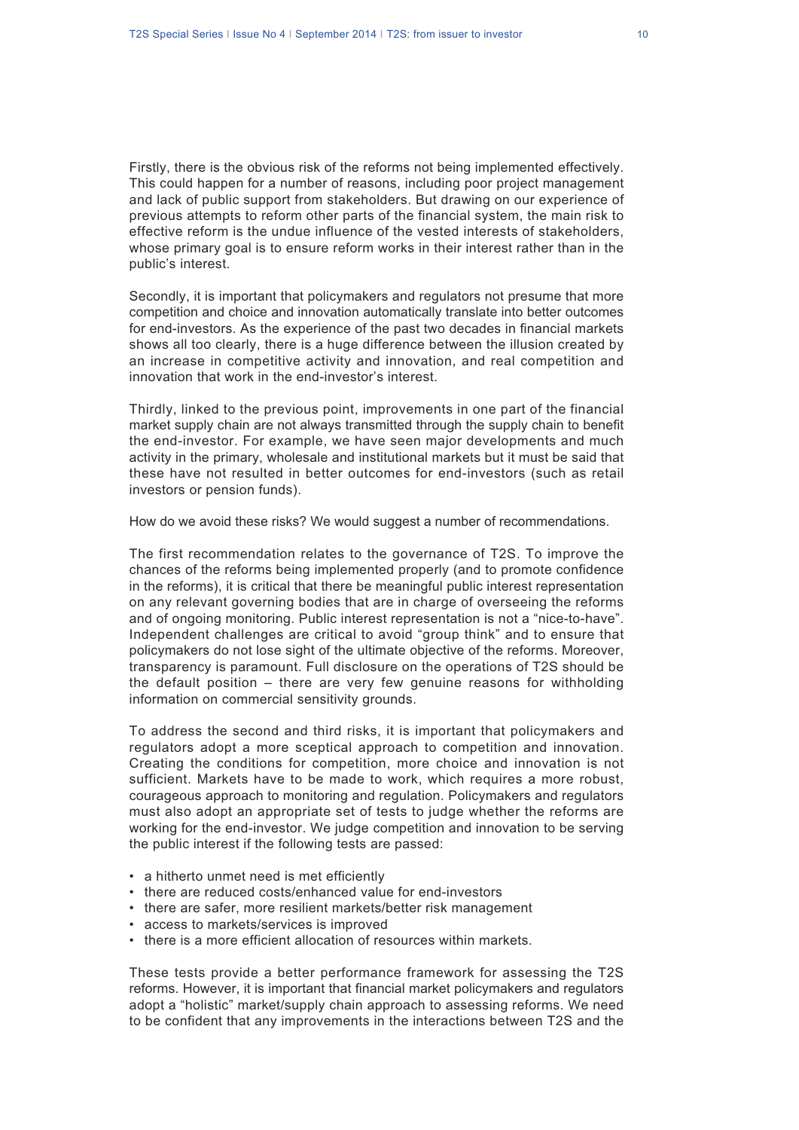Firstly, there is the obvious risk of the reforms not being implemented effectively. This could happen for a number of reasons, including poor project management and lack of public support from stakeholders. But drawing on our experience of previous attempts to reform other parts of the financial system, the main risk to effective reform is the undue influence of the vested interests of stakeholders, whose primary goal is to ensure reform works in their interest rather than in the public's interest.

Secondly, it is important that policymakers and regulators not presume that more competition and choice and innovation automatically translate into better outcomes for end-investors. As the experience of the past two decades in financial markets shows all too clearly, there is a huge difference between the illusion created by an increase in competitive activity and innovation, and real competition and innovation that work in the end-investor's interest.

Thirdly, linked to the previous point, improvements in one part of the financial market supply chain are not always transmitted through the supply chain to benefit the end-investor. For example, we have seen major developments and much activity in the primary, wholesale and institutional markets but it must be said that these have not resulted in better outcomes for end-investors (such as retail investors or pension funds).

How do we avoid these risks? We would suggest a number of recommendations.

The first recommendation relates to the governance of T2S. To improve the chances of the reforms being implemented properly (and to promote confidence in the reforms), it is critical that there be meaningful public interest representation on any relevant governing bodies that are in charge of overseeing the reforms and of ongoing monitoring. Public interest representation is not a "nice-to-have". Independent challenges are critical to avoid "group think" and to ensure that policymakers do not lose sight of the ultimate objective of the reforms. Moreover, transparency is paramount. Full disclosure on the operations of T2S should be the default position – there are very few genuine reasons for withholding information on commercial sensitivity grounds.

To address the second and third risks, it is important that policymakers and regulators adopt a more sceptical approach to competition and innovation. Creating the conditions for competition, more choice and innovation is not sufficient. Markets have to be made to work, which requires a more robust, courageous approach to monitoring and regulation. Policymakers and regulators must also adopt an appropriate set of tests to judge whether the reforms are working for the end-investor. We judge competition and innovation to be serving the public interest if the following tests are passed:

- a hitherto unmet need is met efficiently
- there are reduced costs/enhanced value for end-investors
- there are safer, more resilient markets/better risk management
- access to markets/services is improved
- there is a more efficient allocation of resources within markets.

These tests provide a better performance framework for assessing the T2S reforms. However, it is important that financial market policymakers and regulators adopt a "holistic" market/supply chain approach to assessing reforms. We need to be confident that any improvements in the interactions between T2S and the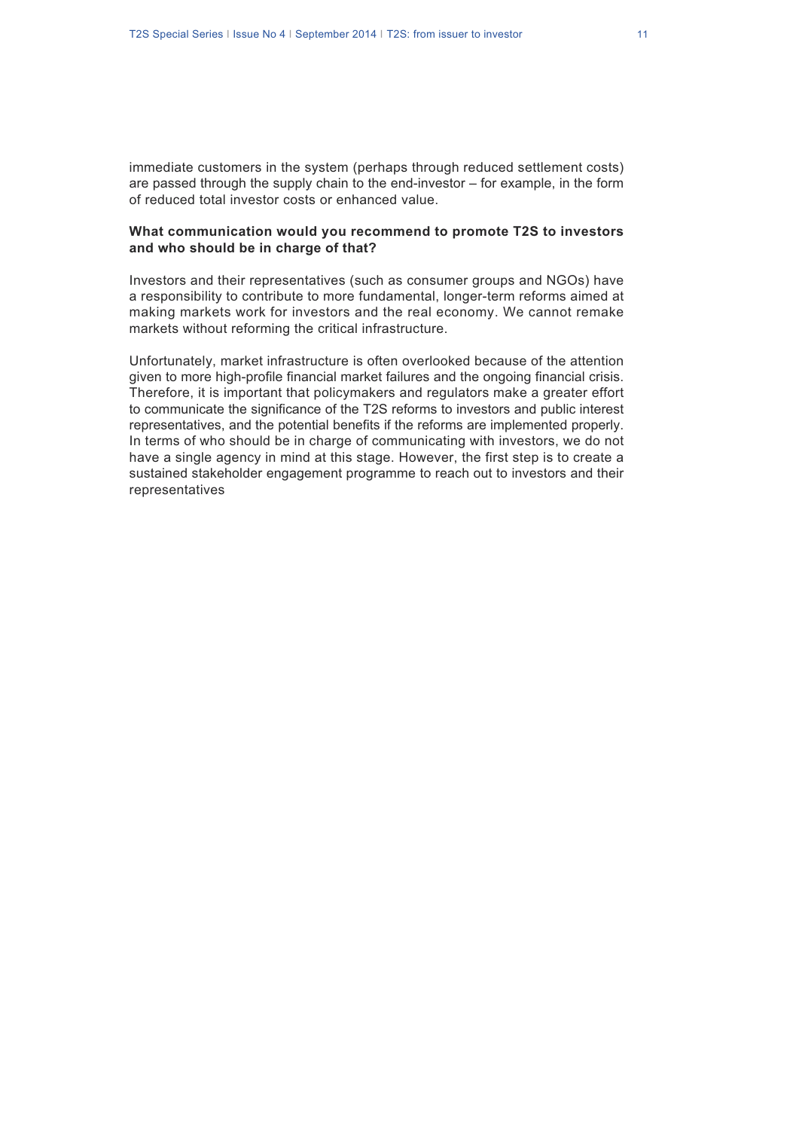immediate customers in the system (perhaps through reduced settlement costs) are passed through the supply chain to the end-investor – for example, in the form of reduced total investor costs or enhanced value.

#### **What communication would you recommend to promote T2S to investors and who should be in charge of that?**

Investors and their representatives (such as consumer groups and NGOs) have a responsibility to contribute to more fundamental, longer-term reforms aimed at making markets work for investors and the real economy. We cannot remake markets without reforming the critical infrastructure.

Unfortunately, market infrastructure is often overlooked because of the attention given to more high-profile financial market failures and the ongoing financial crisis. Therefore, it is important that policymakers and regulators make a greater effort to communicate the significance of the T2S reforms to investors and public interest representatives, and the potential benefits if the reforms are implemented properly. In terms of who should be in charge of communicating with investors, we do not have a single agency in mind at this stage. However, the first step is to create a sustained stakeholder engagement programme to reach out to investors and their representatives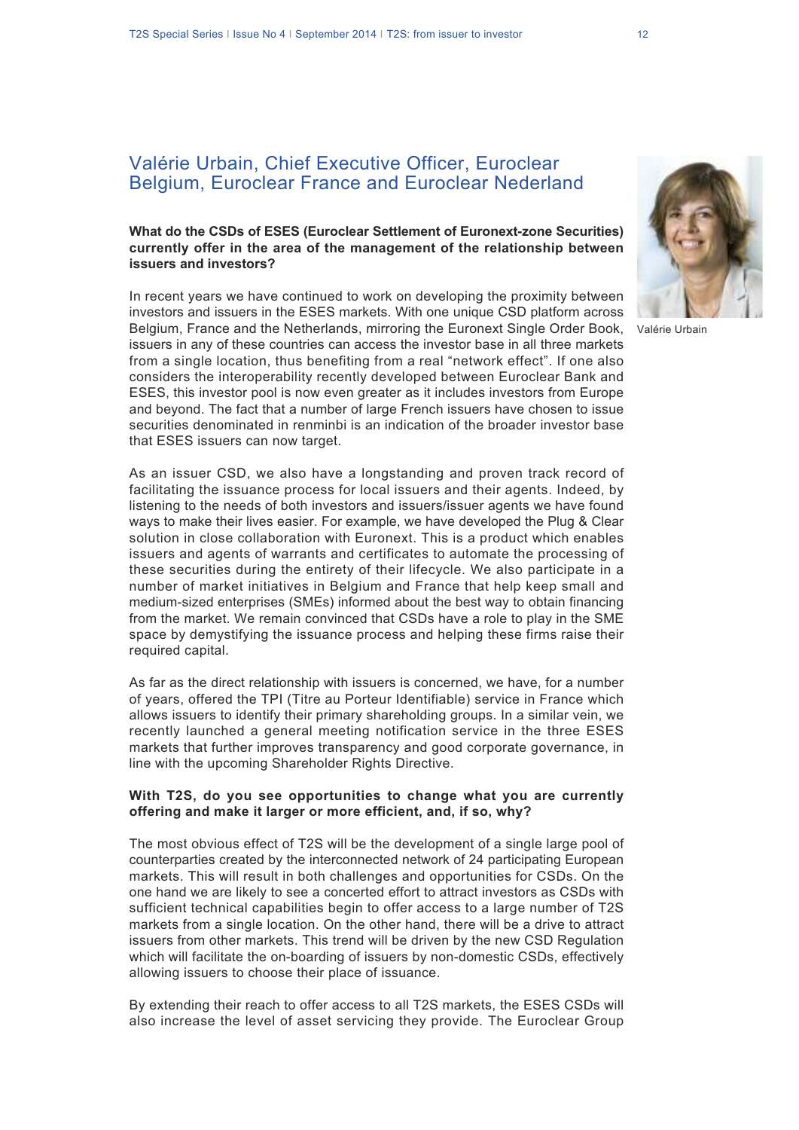## Valérie Urbain, Chief Executive Officer, Euroclear Belgium, Euroclear France and Euroclear Nederland

### **What do the CSDs of ESES (Euroclear Settlement of Euronext-zone Securities) currently offer in the area of the management of the relationship between issuers and investors?**

In recent years we have continued to work on developing the proximity between investors and issuers in the ESES markets. With one unique CSD platform across Belgium, France and the Netherlands, mirroring the Euronext Single Order Book, issuers in any of these countries can access the investor base in all three markets from a single location, thus benefiting from a real "network effect". If one also considers the interoperability recently developed between Euroclear Bank and ESES, this investor pool is now even greater as it includes investors from Europe and beyond. The fact that a number of large French issuers have chosen to issue securities denominated in renminbi is an indication of the broader investor base that ESES issuers can now target.

As an issuer CSD, we also have a longstanding and proven track record of facilitating the issuance process for local issuers and their agents. Indeed, by listening to the needs of both investors and issuers/issuer agents we have found ways to make their lives easier. For example, we have developed the Plug & Clear solution in close collaboration with Euronext. This is a product which enables issuers and agents of warrants and certificates to automate the processing of these securities during the entirety of their lifecycle. We also participate in a number of market initiatives in Belgium and France that help keep small and medium-sized enterprises (SMEs) informed about the best way to obtain financing from the market. We remain convinced that CSDs have a role to play in the SME space by demystifying the issuance process and helping these firms raise their required capital.

As far as the direct relationship with issuers is concerned, we have, for a number of years, offered the TPI (Titre au Porteur Identifiable) service in France which allows issuers to identify their primary shareholding groups. In a similar vein, we recently launched a general meeting notification service in the three ESES markets that further improves transparency and good corporate governance, in line with the upcoming Shareholder Rights Directive.

#### **With T2S, do you see opportunities to change what you are currently offering and make it larger or more efficient, and, if so, why?**

The most obvious effect of T2S will be the development of a single large pool of counterparties created by the interconnected network of 24 participating European markets. This will result in both challenges and opportunities for CSDs. On the one hand we are likely to see a concerted effort to attract investors as CSDs with sufficient technical capabilities begin to offer access to a large number of T2S markets from a single location. On the other hand, there will be a drive to attract issuers from other markets. This trend will be driven by the new CSD Regulation which will facilitate the on-boarding of issuers by non-domestic CSDs, effectively allowing issuers to choose their place of issuance.

By extending their reach to offer access to all T2S markets, the ESES CSDs will also increase the level of asset servicing they provide. The Euroclear Group



Valérie Urbain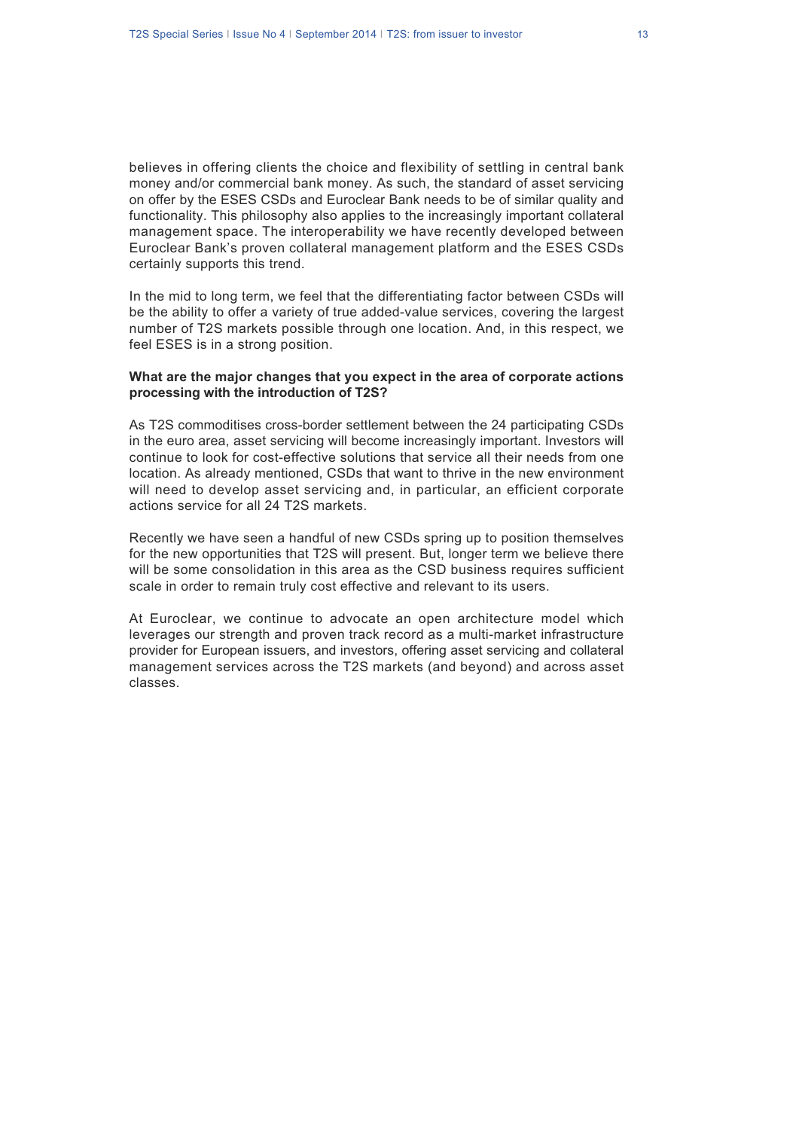believes in offering clients the choice and flexibility of settling in central bank money and/or commercial bank money. As such, the standard of asset servicing on offer by the ESES CSDs and Euroclear Bank needs to be of similar quality and functionality. This philosophy also applies to the increasingly important collateral management space. The interoperability we have recently developed between Euroclear Bank's proven collateral management platform and the ESES CSDs certainly supports this trend.

In the mid to long term, we feel that the differentiating factor between CSDs will be the ability to offer a variety of true added-value services, covering the largest number of T2S markets possible through one location. And, in this respect, we feel ESES is in a strong position.

#### **What are the major changes that you expect in the area of corporate actions processing with the introduction of T2S?**

As T2S commoditises cross-border settlement between the 24 participating CSDs in the euro area, asset servicing will become increasingly important. Investors will continue to look for cost-effective solutions that service all their needs from one location. As already mentioned, CSDs that want to thrive in the new environment will need to develop asset servicing and, in particular, an efficient corporate actions service for all 24 T2S markets.

Recently we have seen a handful of new CSDs spring up to position themselves for the new opportunities that T2S will present. But, longer term we believe there will be some consolidation in this area as the CSD business requires sufficient scale in order to remain truly cost effective and relevant to its users.

At Euroclear, we continue to advocate an open architecture model which leverages our strength and proven track record as a multi-market infrastructure provider for European issuers, and investors, offering asset servicing and collateral management services across the T2S markets (and beyond) and across asset classes.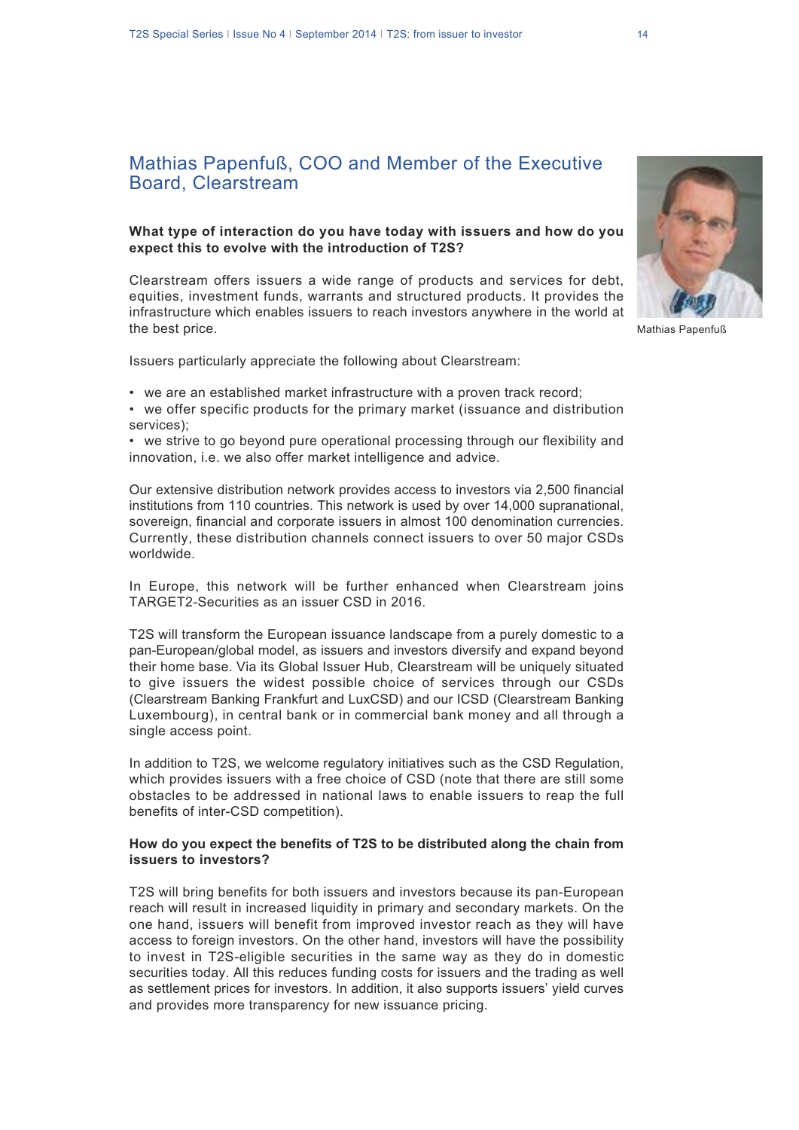# Mathias Papenfuß, COO and Member of the Executive Board, Clearstream

### **What type of interaction do you have today with issuers and how do you expect this to evolve with the introduction of T2S?**

Clearstream offers issuers a wide range of products and services for debt, equities, investment funds, warrants and structured products. It provides the infrastructure which enables issuers to reach investors anywhere in the world at the best price.

Issuers particularly appreciate the following about Clearstream:

- we are an established market infrastructure with a proven track record;
- we offer specific products for the primary market (issuance and distribution services);

• we strive to go beyond pure operational processing through our flexibility and innovation, i.e. we also offer market intelligence and advice.

Our extensive distribution network provides access to investors via 2,500 financial institutions from 110 countries. This network is used by over 14,000 supranational, sovereign, financial and corporate issuers in almost 100 denomination currencies. Currently, these distribution channels connect issuers to over 50 major CSDs worldwide.

In Europe, this network will be further enhanced when Clearstream joins TARGET2-Securities as an issuer CSD in 2016.

T2S will transform the European issuance landscape from a purely domestic to a pan-European/global model, as issuers and investors diversify and expand beyond their home base. Via its Global Issuer Hub, Clearstream will be uniquely situated to give issuers the widest possible choice of services through our CSDs (Clearstream Banking Frankfurt and LuxCSD) and our ICSD (Clearstream Banking Luxembourg), in central bank or in commercial bank money and all through a single access point.

In addition to T2S, we welcome regulatory initiatives such as the CSD Regulation, which provides issuers with a free choice of CSD (note that there are still some obstacles to be addressed in national laws to enable issuers to reap the full benefits of inter-CSD competition).

#### **How do you expect the benefits of T2S to be distributed along the chain from issuers to investors?**

T2S will bring benefits for both issuers and investors because its pan-European reach will result in increased liquidity in primary and secondary markets. On the one hand, issuers will benefit from improved investor reach as they will have access to foreign investors. On the other hand, investors will have the possibility to invest in T2S-eligible securities in the same way as they do in domestic securities today. All this reduces funding costs for issuers and the trading as well as settlement prices for investors. In addition, it also supports issuers' yield curves and provides more transparency for new issuance pricing.



Mathias Papenfuß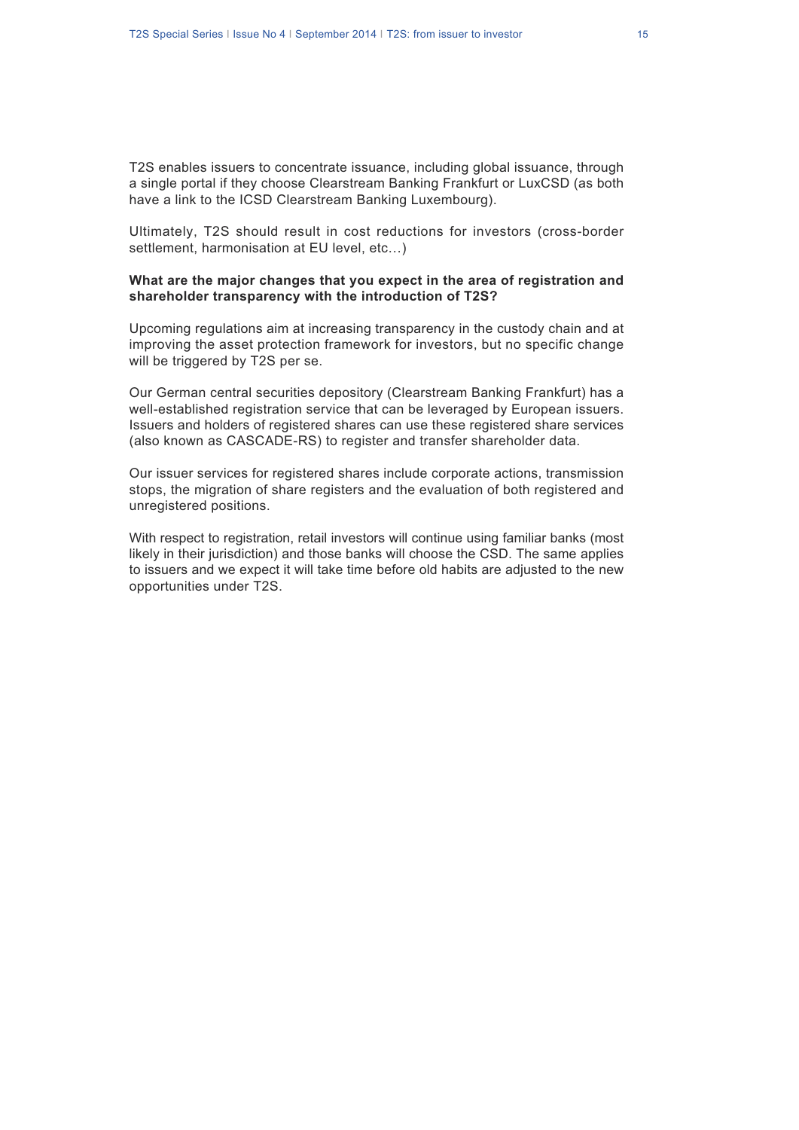T2S enables issuers to concentrate issuance, including global issuance, through a single portal if they choose Clearstream Banking Frankfurt or LuxCSD (as both have a link to the ICSD Clearstream Banking Luxembourg).

Ultimately, T2S should result in cost reductions for investors (cross-border settlement, harmonisation at EU level, etc...)

#### **What are the major changes that you expect in the area of registration and shareholder transparency with the introduction of T2S?**

Upcoming regulations aim at increasing transparency in the custody chain and at improving the asset protection framework for investors, but no specific change will be triggered by T2S per se.

Our German central securities depository (Clearstream Banking Frankfurt) has a well-established registration service that can be leveraged by European issuers. Issuers and holders of registered shares can use these registered share services (also known as CASCADE-RS) to register and transfer shareholder data.

Our issuer services for registered shares include corporate actions, transmission stops, the migration of share registers and the evaluation of both registered and unregistered positions.

With respect to registration, retail investors will continue using familiar banks (most likely in their jurisdiction) and those banks will choose the CSD. The same applies to issuers and we expect it will take time before old habits are adjusted to the new opportunities under T2S.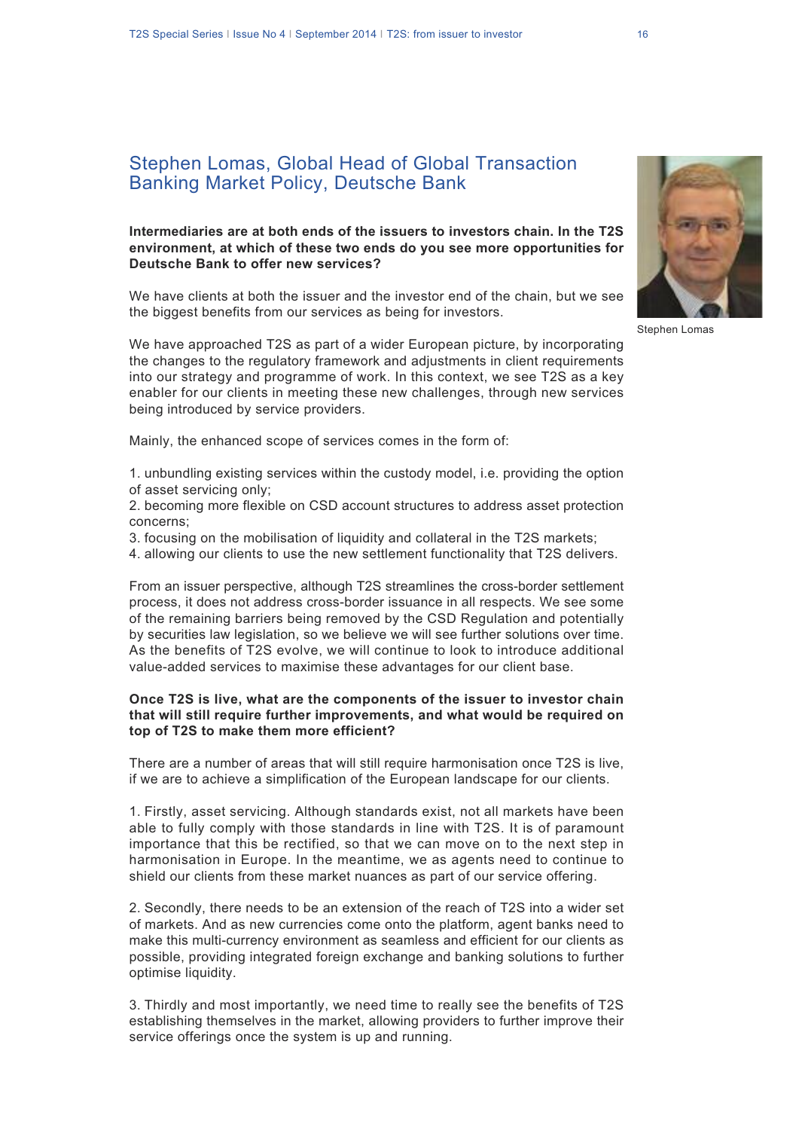### **Intermediaries are at both ends of the issuers to investors chain. In the T2S environment, at which of these two ends do you see more opportunities for Deutsche Bank to offer new services?**

We have clients at both the issuer and the investor end of the chain, but we see the biggest benefits from our services as being for investors.

We have approached T2S as part of a wider European picture, by incorporating the changes to the regulatory framework and adjustments in client requirements into our strategy and programme of work. In this context, we see T2S as a key enabler for our clients in meeting these new challenges, through new services being introduced by service providers.

Mainly, the enhanced scope of services comes in the form of:

1. unbundling existing services within the custody model, i.e. providing the option of asset servicing only;

2. becoming more flexible on CSD account structures to address asset protection concerns;

3. focusing on the mobilisation of liquidity and collateral in the T2S markets;

4. allowing our clients to use the new settlement functionality that T2S delivers.

From an issuer perspective, although T2S streamlines the cross-border settlement process, it does not address cross-border issuance in all respects. We see some of the remaining barriers being removed by the CSD Regulation and potentially by securities law legislation, so we believe we will see further solutions over time. As the benefits of T2S evolve, we will continue to look to introduce additional value-added services to maximise these advantages for our client base.

### **Once T2S is live, what are the components of the issuer to investor chain that will still require further improvements, and what would be required on top of T2S to make them more efficient?**

There are a number of areas that will still require harmonisation once T2S is live, if we are to achieve a simplification of the European landscape for our clients.

1. Firstly, asset servicing. Although standards exist, not all markets have been able to fully comply with those standards in line with T2S. It is of paramount importance that this be rectified, so that we can move on to the next step in harmonisation in Europe. In the meantime, we as agents need to continue to shield our clients from these market nuances as part of our service offering.

2. Secondly, there needs to be an extension of the reach of T2S into a wider set of markets. And as new currencies come onto the platform, agent banks need to make this multi-currency environment as seamless and efficient for our clients as possible, providing integrated foreign exchange and banking solutions to further optimise liquidity.

3. Thirdly and most importantly, we need time to really see the benefits of T2S establishing themselves in the market, allowing providers to further improve their service offerings once the system is up and running.

Stephen Lomas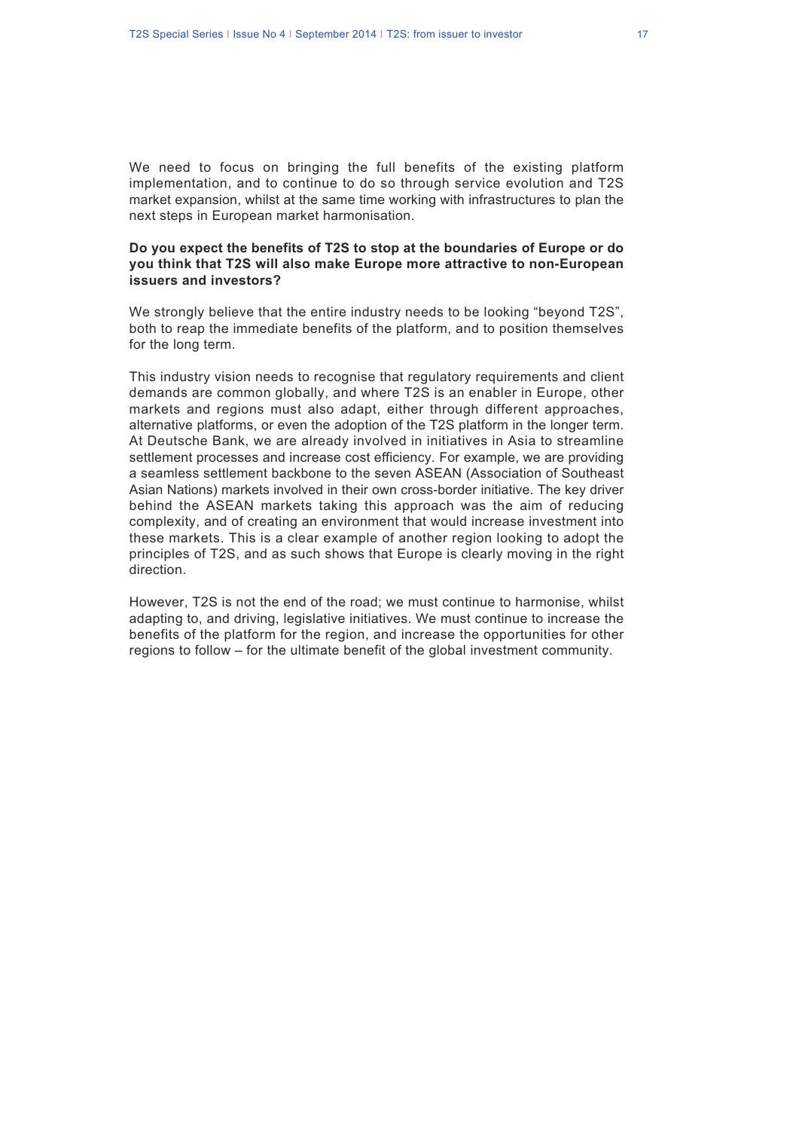We need to focus on bringing the full benefits of the existing platform implementation, and to continue to do so through service evolution and T2S market expansion, whilst at the same time working with infrastructures to plan the next steps in European market harmonisation.

### **Do you expect the benefits of T2S to stop at the boundaries of Europe or do you think that T2S will also make Europe more attractive to non-European issuers and investors?**

We strongly believe that the entire industry needs to be looking "beyond T2S", both to reap the immediate benefits of the platform, and to position themselves for the long term.

This industry vision needs to recognise that regulatory requirements and client demands are common globally, and where T2S is an enabler in Europe, other markets and regions must also adapt, either through different approaches, alternative platforms, or even the adoption of the T2S platform in the longer term. At Deutsche Bank, we are already involved in initiatives in Asia to streamline settlement processes and increase cost efficiency. For example, we are providing a seamless settlement backbone to the seven ASEAN (Association of Southeast Asian Nations) markets involved in their own cross-border initiative. The key driver behind the ASEAN markets taking this approach was the aim of reducing complexity, and of creating an environment that would increase investment into these markets. This is a clear example of another region looking to adopt the principles of T2S, and as such shows that Europe is clearly moving in the right direction.

However, T2S is not the end of the road; we must continue to harmonise, whilst adapting to, and driving, legislative initiatives. We must continue to increase the benefits of the platform for the region, and increase the opportunities for other regions to follow – for the ultimate benefit of the global investment community.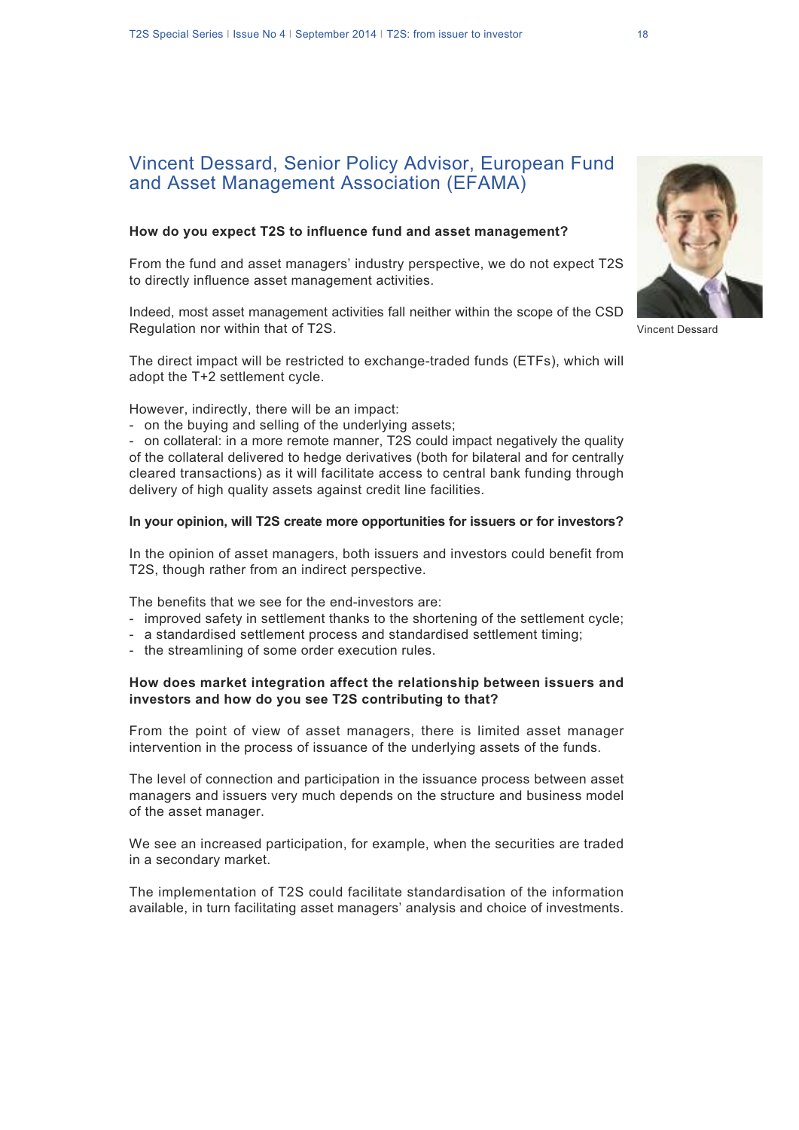## Vincent Dessard, Senior Policy Advisor, European Fund and Asset Management Association (EFAMA)

#### **How do you expect T2S to influence fund and asset management?**

From the fund and asset managers' industry perspective, we do not expect T2S to directly influence asset management activities.

Indeed, most asset management activities fall neither within the scope of the CSD Regulation nor within that of T2S.

The direct impact will be restricted to exchange-traded funds (ETFs), which will adopt the T+2 settlement cycle.

However, indirectly, there will be an impact:

- on the buying and selling of the underlying assets;

- on collateral: in a more remote manner, T2S could impact negatively the quality of the collateral delivered to hedge derivatives (both for bilateral and for centrally cleared transactions) as it will facilitate access to central bank funding through delivery of high quality assets against credit line facilities.

### **In your opinion, will T2S create more opportunities for issuers or for investors?**

In the opinion of asset managers, both issuers and investors could benefit from T2S, though rather from an indirect perspective.

The benefits that we see for the end-investors are:

- improved safety in settlement thanks to the shortening of the settlement cycle;
- a standardised settlement process and standardised settlement timing;
- the streamlining of some order execution rules.

#### **How does market integration affect the relationship between issuers and investors and how do you see T2S contributing to that?**

From the point of view of asset managers, there is limited asset manager intervention in the process of issuance of the underlying assets of the funds.

The level of connection and participation in the issuance process between asset managers and issuers very much depends on the structure and business model of the asset manager.

We see an increased participation, for example, when the securities are traded in a secondary market.

The implementation of T2S could facilitate standardisation of the information available, in turn facilitating asset managers' analysis and choice of investments.



Vincent Dessard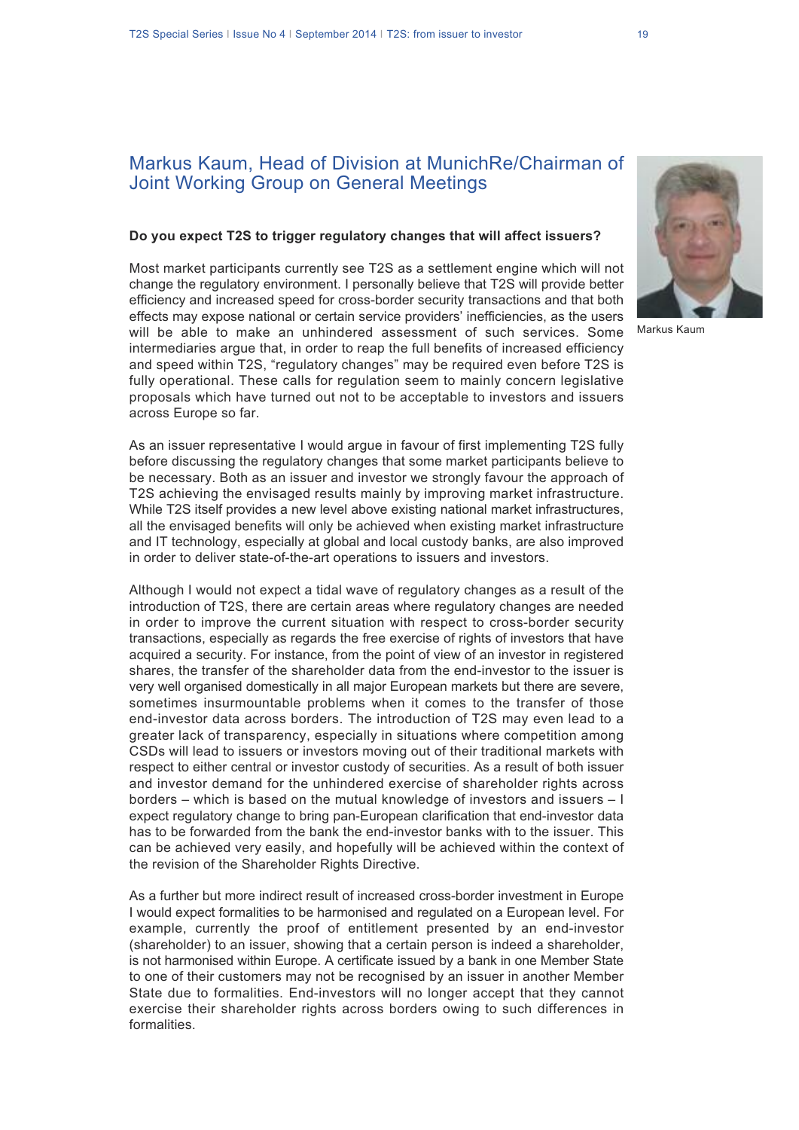## Markus Kaum, Head of Division at MunichRe/Chairman of Joint Working Group on General Meetings

#### **Do you expect T2S to trigger regulatory changes that will affect issuers?**

Most market participants currently see T2S as a settlement engine which will not change the regulatory environment. I personally believe that T2S will provide better efficiency and increased speed for cross-border security transactions and that both effects may expose national or certain service providers' inefficiencies, as the users will be able to make an unhindered assessment of such services. Some intermediaries argue that, in order to reap the full benefits of increased efficiency and speed within T2S, "regulatory changes" may be required even before T2S is fully operational. These calls for regulation seem to mainly concern legislative proposals which have turned out not to be acceptable to investors and issuers across Europe so far.

As an issuer representative I would argue in favour of first implementing T2S fully before discussing the regulatory changes that some market participants believe to be necessary. Both as an issuer and investor we strongly favour the approach of T2S achieving the envisaged results mainly by improving market infrastructure. While T2S itself provides a new level above existing national market infrastructures, all the envisaged benefits will only be achieved when existing market infrastructure and IT technology, especially at global and local custody banks, are also improved in order to deliver state-of-the-art operations to issuers and investors.

Although I would not expect a tidal wave of regulatory changes as a result of the introduction of T2S, there are certain areas where regulatory changes are needed in order to improve the current situation with respect to cross-border security transactions, especially as regards the free exercise of rights of investors that have acquired a security. For instance, from the point of view of an investor in registered shares, the transfer of the shareholder data from the end-investor to the issuer is very well organised domestically in all major European markets but there are severe, sometimes insurmountable problems when it comes to the transfer of those end-investor data across borders. The introduction of T2S may even lead to a greater lack of transparency, especially in situations where competition among CSDs will lead to issuers or investors moving out of their traditional markets with respect to either central or investor custody of securities. As a result of both issuer and investor demand for the unhindered exercise of shareholder rights across borders – which is based on the mutual knowledge of investors and issuers – I expect regulatory change to bring pan-European clarification that end-investor data has to be forwarded from the bank the end-investor banks with to the issuer. This can be achieved very easily, and hopefully will be achieved within the context of the revision of the Shareholder Rights Directive.

As a further but more indirect result of increased cross-border investment in Europe I would expect formalities to be harmonised and regulated on a European level. For example, currently the proof of entitlement presented by an end-investor (shareholder) to an issuer, showing that a certain person is indeed a shareholder, is not harmonised within Europe. A certificate issued by a bank in one Member State to one of their customers may not be recognised by an issuer in another Member State due to formalities. End-investors will no longer accept that they cannot exercise their shareholder rights across borders owing to such differences in formalities.



Markus Kaum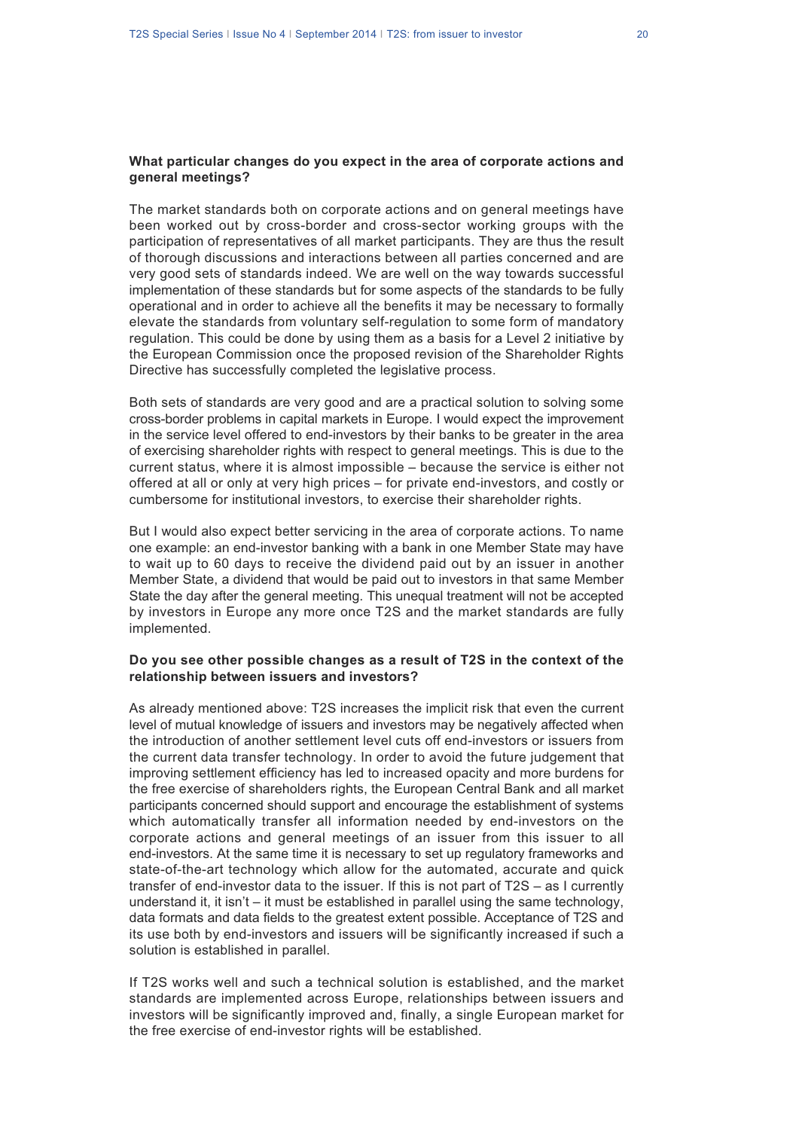#### **What particular changes do you expect in the area of corporate actions and general meetings?**

The market standards both on corporate actions and on general meetings have been worked out by cross-border and cross-sector working groups with the participation of representatives of all market participants. They are thus the result of thorough discussions and interactions between all parties concerned and are very good sets of standards indeed. We are well on the way towards successful implementation of these standards but for some aspects of the standards to be fully operational and in order to achieve all the benefits it may be necessary to formally elevate the standards from voluntary self-regulation to some form of mandatory regulation. This could be done by using them as a basis for a Level 2 initiative by the European Commission once the proposed revision of the Shareholder Rights Directive has successfully completed the legislative process.

Both sets of standards are very good and are a practical solution to solving some cross-border problems in capital markets in Europe. I would expect the improvement in the service level offered to end-investors by their banks to be greater in the area of exercising shareholder rights with respect to general meetings. This is due to the current status, where it is almost impossible – because the service is either not offered at all or only at very high prices – for private end-investors, and costly or cumbersome for institutional investors, to exercise their shareholder rights.

But I would also expect better servicing in the area of corporate actions. To name one example: an end-investor banking with a bank in one Member State may have to wait up to 60 days to receive the dividend paid out by an issuer in another Member State, a dividend that would be paid out to investors in that same Member State the day after the general meeting. This unequal treatment will not be accepted by investors in Europe any more once T2S and the market standards are fully implemented.

#### **Do you see other possible changes as a result of T2S in the context of the relationship between issuers and investors?**

As already mentioned above: T2S increases the implicit risk that even the current level of mutual knowledge of issuers and investors may be negatively affected when the introduction of another settlement level cuts off end-investors or issuers from the current data transfer technology. In order to avoid the future judgement that improving settlement efficiency has led to increased opacity and more burdens for the free exercise of shareholders rights, the European Central Bank and all market participants concerned should support and encourage the establishment of systems which automatically transfer all information needed by end-investors on the corporate actions and general meetings of an issuer from this issuer to all end-investors. At the same time it is necessary to set up regulatory frameworks and state-of-the-art technology which allow for the automated, accurate and quick transfer of end-investor data to the issuer. If this is not part of T2S – as I currently understand it, it isn't – it must be established in parallel using the same technology, data formats and data fields to the greatest extent possible. Acceptance of T2S and its use both by end-investors and issuers will be significantly increased if such a solution is established in parallel.

If T2S works well and such a technical solution is established, and the market standards are implemented across Europe, relationships between issuers and investors will be significantly improved and, finally, a single European market for the free exercise of end-investor rights will be established.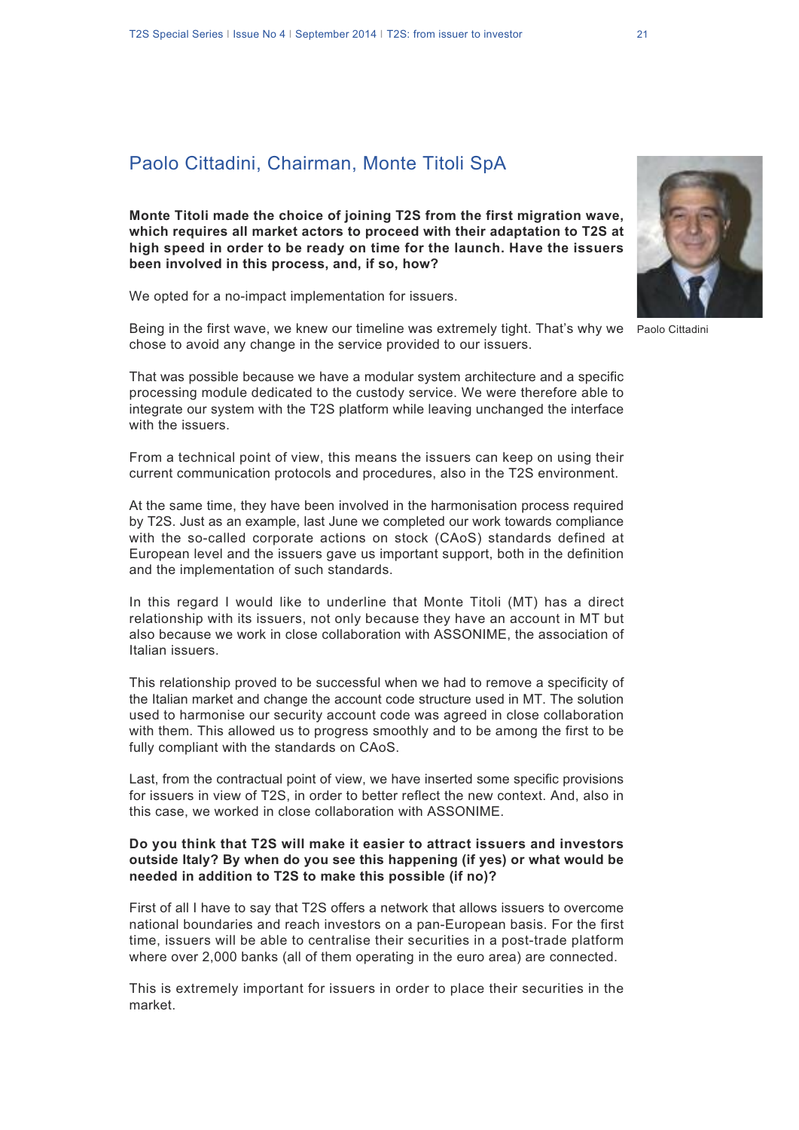## Paolo Cittadini, Chairman, Monte Titoli SpA

**Monte Titoli made the choice of joining T2S from the first migration wave, which requires all market actors to proceed with their adaptation to T2S at high speed in order to be ready on time for the launch. Have the issuers been involved in this process, and, if so, how?**

We opted for a no-impact implementation for issuers.

Being in the first wave, we knew our timeline was extremely tight. That's why we Paolo Cittadini chose to avoid any change in the service provided to our issuers.

That was possible because we have a modular system architecture and a specific processing module dedicated to the custody service. We were therefore able to integrate our system with the T2S platform while leaving unchanged the interface with the issuers.

From a technical point of view, this means the issuers can keep on using their current communication protocols and procedures, also in the T2S environment.

At the same time, they have been involved in the harmonisation process required by T2S. Just as an example, last June we completed our work towards compliance with the so-called corporate actions on stock (CAoS) standards defined at European level and the issuers gave us important support, both in the definition and the implementation of such standards.

In this regard I would like to underline that Monte Titoli (MT) has a direct relationship with its issuers, not only because they have an account in MT but also because we work in close collaboration with ASSONIME, the association of Italian issuers.

This relationship proved to be successful when we had to remove a specificity of the Italian market and change the account code structure used in MT. The solution used to harmonise our security account code was agreed in close collaboration with them. This allowed us to progress smoothly and to be among the first to be fully compliant with the standards on CAoS.

Last, from the contractual point of view, we have inserted some specific provisions for issuers in view of T2S, in order to better reflect the new context. And, also in this case, we worked in close collaboration with ASSONIME.

### **Do you think that T2S will make it easier to attract issuers and investors outside Italy? By when do you see this happening (if yes) or what would be needed in addition to T2S to make this possible (if no)?**

First of all I have to say that T2S offers a network that allows issuers to overcome national boundaries and reach investors on a pan-European basis. For the first time, issuers will be able to centralise their securities in a post-trade platform where over 2,000 banks (all of them operating in the euro area) are connected.

This is extremely important for issuers in order to place their securities in the market.

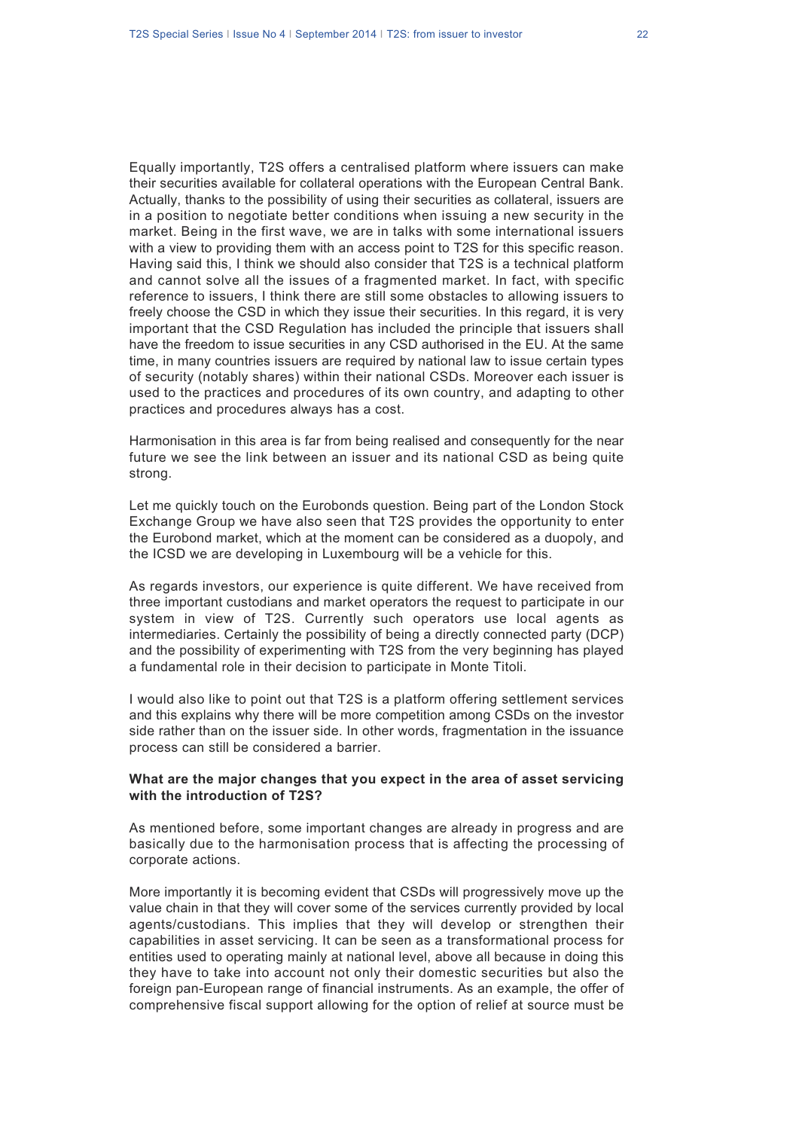Equally importantly, T2S offers a centralised platform where issuers can make their securities available for collateral operations with the European Central Bank. Actually, thanks to the possibility of using their securities as collateral, issuers are in a position to negotiate better conditions when issuing a new security in the market. Being in the first wave, we are in talks with some international issuers with a view to providing them with an access point to T2S for this specific reason. Having said this, I think we should also consider that T2S is a technical platform and cannot solve all the issues of a fragmented market. In fact, with specific reference to issuers, I think there are still some obstacles to allowing issuers to freely choose the CSD in which they issue their securities. In this regard, it is very important that the CSD Regulation has included the principle that issuers shall have the freedom to issue securities in any CSD authorised in the EU. At the same time, in many countries issuers are required by national law to issue certain types of security (notably shares) within their national CSDs. Moreover each issuer is used to the practices and procedures of its own country, and adapting to other practices and procedures always has a cost.

Harmonisation in this area is far from being realised and consequently for the near future we see the link between an issuer and its national CSD as being quite strong.

Let me quickly touch on the Eurobonds question. Being part of the London Stock Exchange Group we have also seen that T2S provides the opportunity to enter the Eurobond market, which at the moment can be considered as a duopoly, and the ICSD we are developing in Luxembourg will be a vehicle for this.

As regards investors, our experience is quite different. We have received from three important custodians and market operators the request to participate in our system in view of T2S. Currently such operators use local agents as intermediaries. Certainly the possibility of being a directly connected party (DCP) and the possibility of experimenting with T2S from the very beginning has played a fundamental role in their decision to participate in Monte Titoli.

I would also like to point out that T2S is a platform offering settlement services and this explains why there will be more competition among CSDs on the investor side rather than on the issuer side. In other words, fragmentation in the issuance process can still be considered a barrier.

#### **What are the major changes that you expect in the area of asset servicing with the introduction of T2S?**

As mentioned before, some important changes are already in progress and are basically due to the harmonisation process that is affecting the processing of corporate actions.

More importantly it is becoming evident that CSDs will progressively move up the value chain in that they will cover some of the services currently provided by local agents/custodians. This implies that they will develop or strengthen their capabilities in asset servicing. It can be seen as a transformational process for entities used to operating mainly at national level, above all because in doing this they have to take into account not only their domestic securities but also the foreign pan-European range of financial instruments. As an example, the offer of comprehensive fiscal support allowing for the option of relief at source must be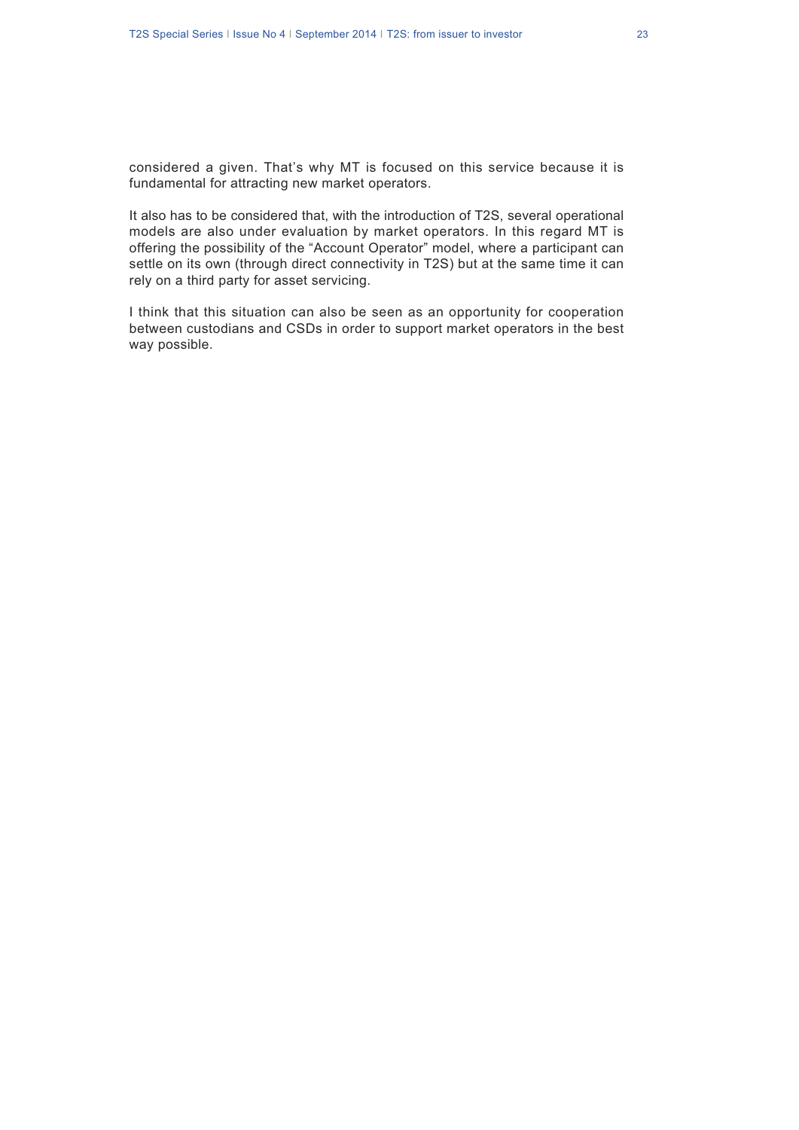considered a given. That's why MT is focused on this service because it is fundamental for attracting new market operators.

It also has to be considered that, with the introduction of T2S, several operational models are also under evaluation by market operators. In this regard MT is offering the possibility of the "Account Operator" model, where a participant can settle on its own (through direct connectivity in T2S) but at the same time it can rely on a third party for asset servicing.

I think that this situation can also be seen as an opportunity for cooperation between custodians and CSDs in order to support market operators in the best way possible.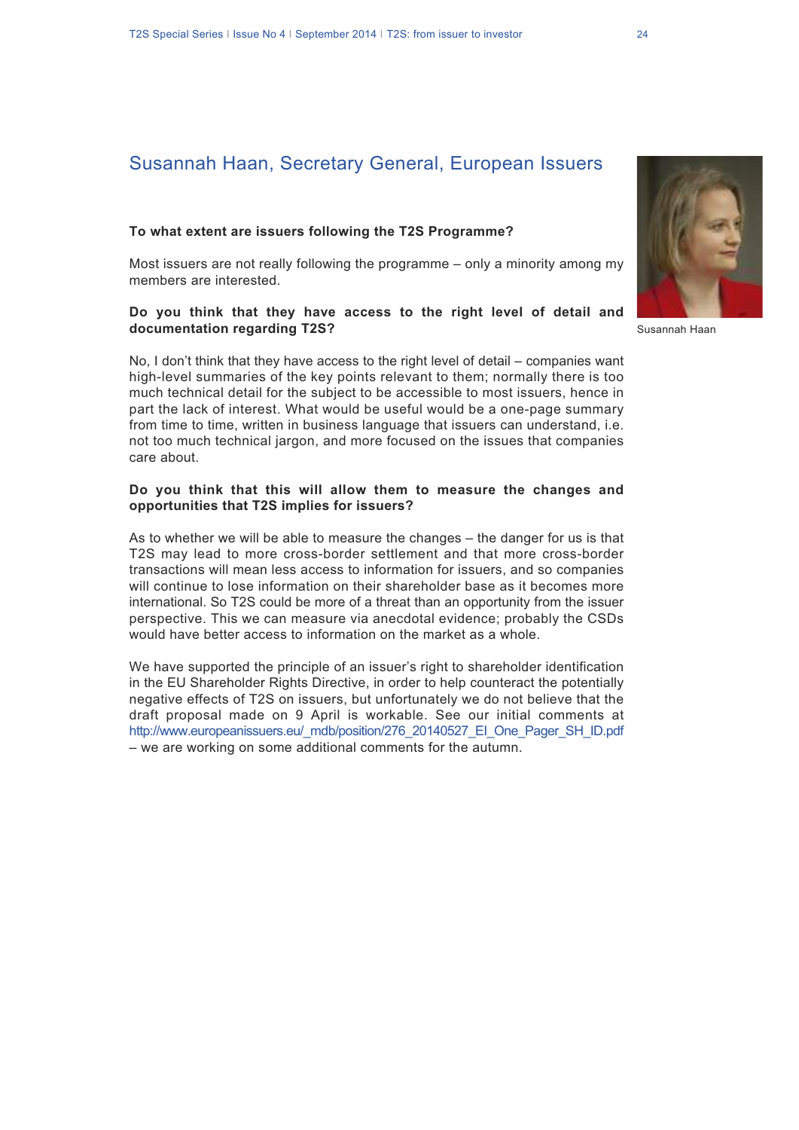# Susannah Haan, Secretary General, European Issuers

### **To what extent are issuers following the T2S Programme?**

Most issuers are not really following the programme – only a minority among my members are interested.

#### **Do you think that they have access to the right level of detail and documentation regarding T2S?**

No, I don't think that they have access to the right level of detail – companies want high-level summaries of the key points relevant to them; normally there is too much technical detail for the subject to be accessible to most issuers, hence in part the lack of interest. What would be useful would be a one-page summary from time to time, written in business language that issuers can understand, i.e. not too much technical jargon, and more focused on the issues that companies care about.

#### **Do you think that this will allow them to measure the changes and opportunities that T2S implies for issuers?**

As to whether we will be able to measure the changes – the danger for us is that T2S may lead to more cross-border settlement and that more cross-border transactions will mean less access to information for issuers, and so companies will continue to lose information on their shareholder base as it becomes more international. So T2S could be more of a threat than an opportunity from the issuer perspective. This we can measure via anecdotal evidence; probably the CSDs would have better access to information on the market as a whole.

We have supported the principle of an issuer's right to shareholder identification in the EU Shareholder Rights Directive, in order to help counteract the potentially negative effects of T2S on issuers, but unfortunately we do not believe that the draft proposal made on 9 April is workable. See our initial comments at http://www.europeanissuers.eu/\_mdb/position/276\_20140527\_EI\_One\_Pager\_SH\_ID.pdf – we are working on some additional comments for the autumn.



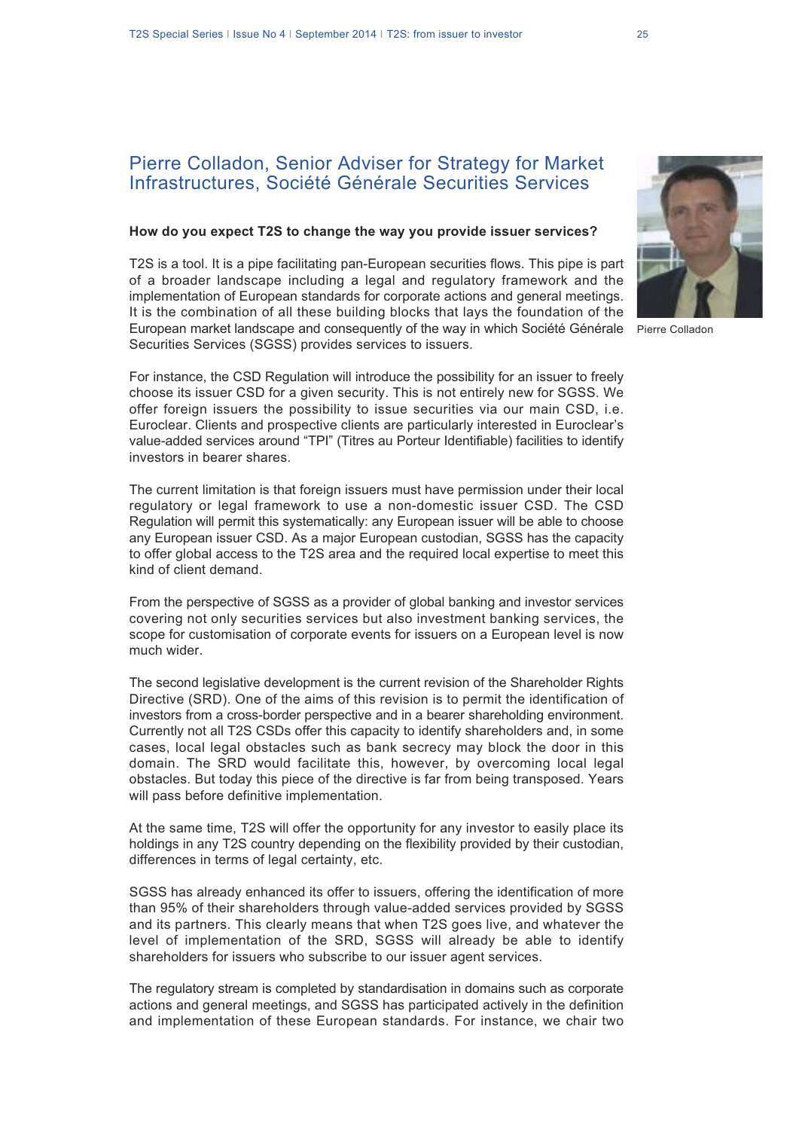### Pierre Colladon, Senior Adviser for Strategy for Market Infrastructures, Société Générale Securities Services

#### **How do you expect T2S to change the way you provide issuer services?**

T2S is a tool. It is a pipe facilitating pan-European securities flows. This pipe is part of a broader landscape including a legal and regulatory framework and the implementation of European standards for corporate actions and general meetings. It is the combination of all these building blocks that lays the foundation of the European market landscape and consequently of the way in which Société Générale Securities Services (SGSS) provides services to issuers.

For instance, the CSD Regulation will introduce the possibility for an issuer to freely choose its issuer CSD for a given security. This is not entirely new for SGSS. We offer foreign issuers the possibility to issue securities via our main CSD, i.e. Euroclear. Clients and prospective clients are particularly interested in Euroclear's value-added services around "TPI" (Titres au Porteur Identifiable) facilities to identify investors in bearer shares.

The current limitation is that foreign issuers must have permission under their local regulatory or legal framework to use a non-domestic issuer CSD. The CSD Regulation will permit this systematically: any European issuer will be able to choose any European issuer CSD. As a major European custodian, SGSS has the capacity to offer global access to the T2S area and the required local expertise to meet this kind of client demand.

From the perspective of SGSS as a provider of global banking and investor services covering not only securities services but also investment banking services, the scope for customisation of corporate events for issuers on a European level is now much wider.

The second legislative development is the current revision of the Shareholder Rights Directive (SRD). One of the aims of this revision is to permit the identification of investors from a cross-border perspective and in a bearer shareholding environment. Currently not all T2S CSDs offer this capacity to identify shareholders and, in some cases, local legal obstacles such as bank secrecy may block the door in this domain. The SRD would facilitate this, however, by overcoming local legal obstacles. But today this piece of the directive is far from being transposed. Years will pass before definitive implementation.

At the same time, T2S will offer the opportunity for any investor to easily place its holdings in any T2S country depending on the flexibility provided by their custodian, differences in terms of legal certainty, etc.

SGSS has already enhanced its offer to issuers, offering the identification of more than 95% of their shareholders through value-added services provided by SGSS and its partners. This clearly means that when T2S goes live, and whatever the level of implementation of the SRD, SGSS will already be able to identify shareholders for issuers who subscribe to our issuer agent services.

The regulatory stream is completed by standardisation in domains such as corporate actions and general meetings, and SGSS has participated actively in the definition and implementation of these European standards. For instance, we chair two



Pierre Colladon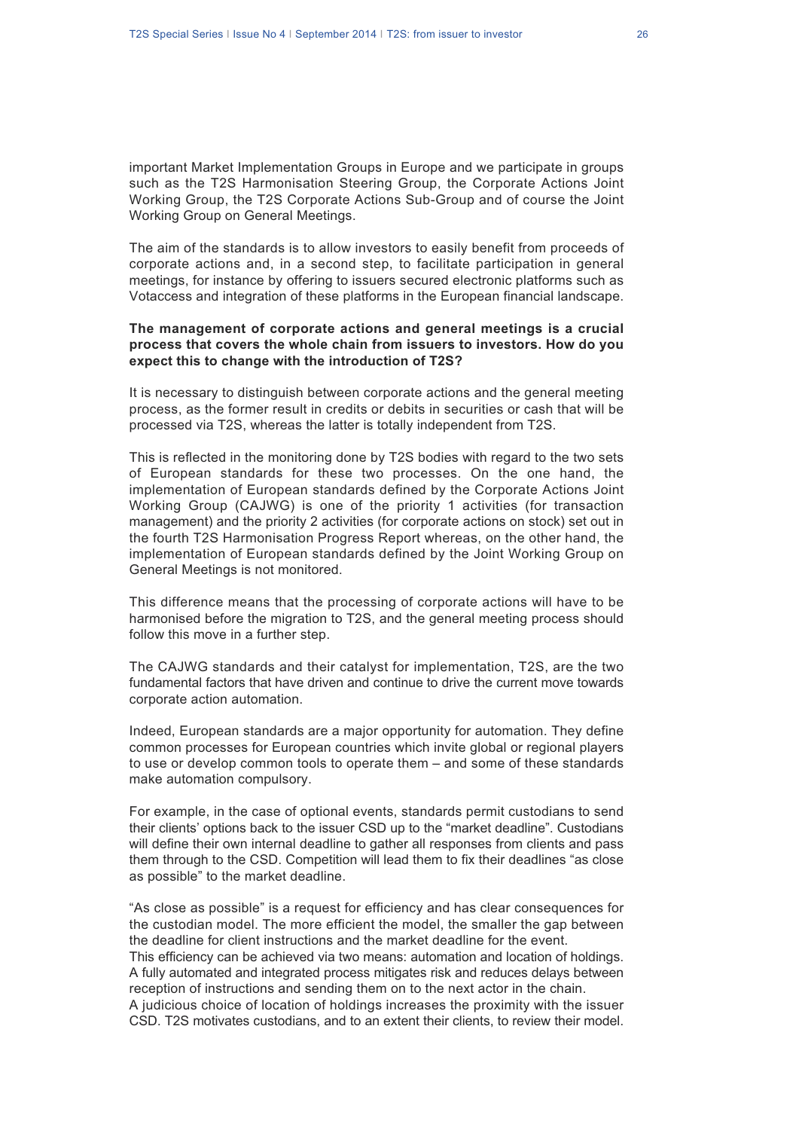important Market Implementation Groups in Europe and we participate in groups such as the T2S Harmonisation Steering Group, the Corporate Actions Joint Working Group, the T2S Corporate Actions Sub-Group and of course the Joint Working Group on General Meetings.

The aim of the standards is to allow investors to easily benefit from proceeds of corporate actions and, in a second step, to facilitate participation in general meetings, for instance by offering to issuers secured electronic platforms such as Votaccess and integration of these platforms in the European financial landscape.

### **The management of corporate actions and general meetings is a crucial process that covers the whole chain from issuers to investors. How do you expect this to change with the introduction of T2S?**

It is necessary to distinguish between corporate actions and the general meeting process, as the former result in credits or debits in securities or cash that will be processed via T2S, whereas the latter is totally independent from T2S.

This is reflected in the monitoring done by T2S bodies with regard to the two sets of European standards for these two processes. On the one hand, the implementation of European standards defined by the Corporate Actions Joint Working Group (CAJWG) is one of the priority 1 activities (for transaction management) and the priority 2 activities (for corporate actions on stock) set out in the fourth T2S Harmonisation Progress Report whereas, on the other hand, the implementation of European standards defined by the Joint Working Group on General Meetings is not monitored.

This difference means that the processing of corporate actions will have to be harmonised before the migration to T2S, and the general meeting process should follow this move in a further step.

The CAJWG standards and their catalyst for implementation, T2S, are the two fundamental factors that have driven and continue to drive the current move towards corporate action automation.

Indeed, European standards are a major opportunity for automation. They define common processes for European countries which invite global or regional players to use or develop common tools to operate them – and some of these standards make automation compulsory.

For example, in the case of optional events, standards permit custodians to send their clients' options back to the issuer CSD up to the "market deadline". Custodians will define their own internal deadline to gather all responses from clients and pass them through to the CSD. Competition will lead them to fix their deadlines "as close as possible" to the market deadline.

"As close as possible" is a request for efficiency and has clear consequences for the custodian model. The more efficient the model, the smaller the gap between the deadline for client instructions and the market deadline for the event. This efficiency can be achieved via two means: automation and location of holdings. A fully automated and integrated process mitigates risk and reduces delays between reception of instructions and sending them on to the next actor in the chain.

A judicious choice of location of holdings increases the proximity with the issuer CSD. T2S motivates custodians, and to an extent their clients, to review their model.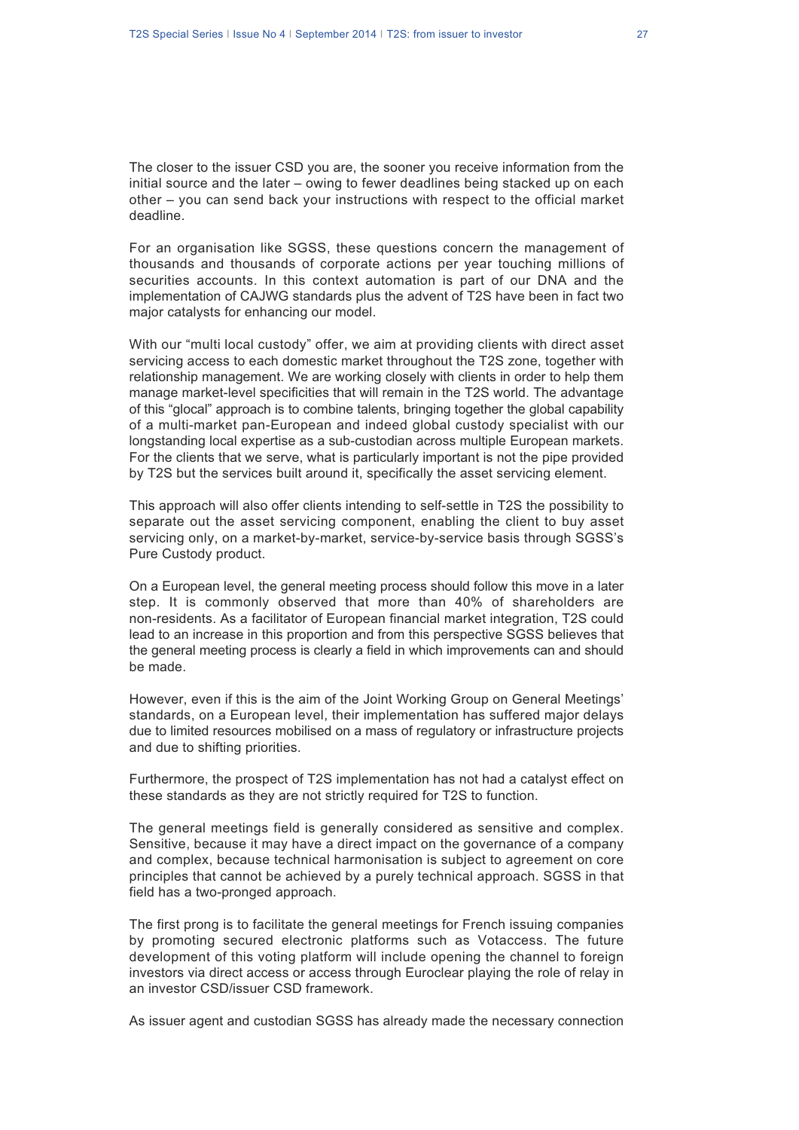The closer to the issuer CSD you are, the sooner you receive information from the initial source and the later – owing to fewer deadlines being stacked up on each other – you can send back your instructions with respect to the official market deadline.

For an organisation like SGSS, these questions concern the management of thousands and thousands of corporate actions per year touching millions of securities accounts. In this context automation is part of our DNA and the implementation of CAJWG standards plus the advent of T2S have been in fact two major catalysts for enhancing our model.

With our "multi local custody" offer, we aim at providing clients with direct asset servicing access to each domestic market throughout the T2S zone, together with relationship management. We are working closely with clients in order to help them manage market-level specificities that will remain in the T2S world. The advantage of this "glocal" approach is to combine talents, bringing together the global capability of a multi-market pan-European and indeed global custody specialist with our longstanding local expertise as a sub-custodian across multiple European markets. For the clients that we serve, what is particularly important is not the pipe provided by T2S but the services built around it, specifically the asset servicing element.

This approach will also offer clients intending to self-settle in T2S the possibility to separate out the asset servicing component, enabling the client to buy asset servicing only, on a market-by-market, service-by-service basis through SGSS's Pure Custody product.

On a European level, the general meeting process should follow this move in a later step. It is commonly observed that more than 40% of shareholders are non-residents. As a facilitator of European financial market integration, T2S could lead to an increase in this proportion and from this perspective SGSS believes that the general meeting process is clearly a field in which improvements can and should be made.

However, even if this is the aim of the Joint Working Group on General Meetings' standards, on a European level, their implementation has suffered major delays due to limited resources mobilised on a mass of regulatory or infrastructure projects and due to shifting priorities.

Furthermore, the prospect of T2S implementation has not had a catalyst effect on these standards as they are not strictly required for T2S to function.

The general meetings field is generally considered as sensitive and complex. Sensitive, because it may have a direct impact on the governance of a company and complex, because technical harmonisation is subject to agreement on core principles that cannot be achieved by a purely technical approach. SGSS in that field has a two-pronged approach.

The first prong is to facilitate the general meetings for French issuing companies by promoting secured electronic platforms such as Votaccess. The future development of this voting platform will include opening the channel to foreign investors via direct access or access through Euroclear playing the role of relay in an investor CSD/issuer CSD framework.

As issuer agent and custodian SGSS has already made the necessary connection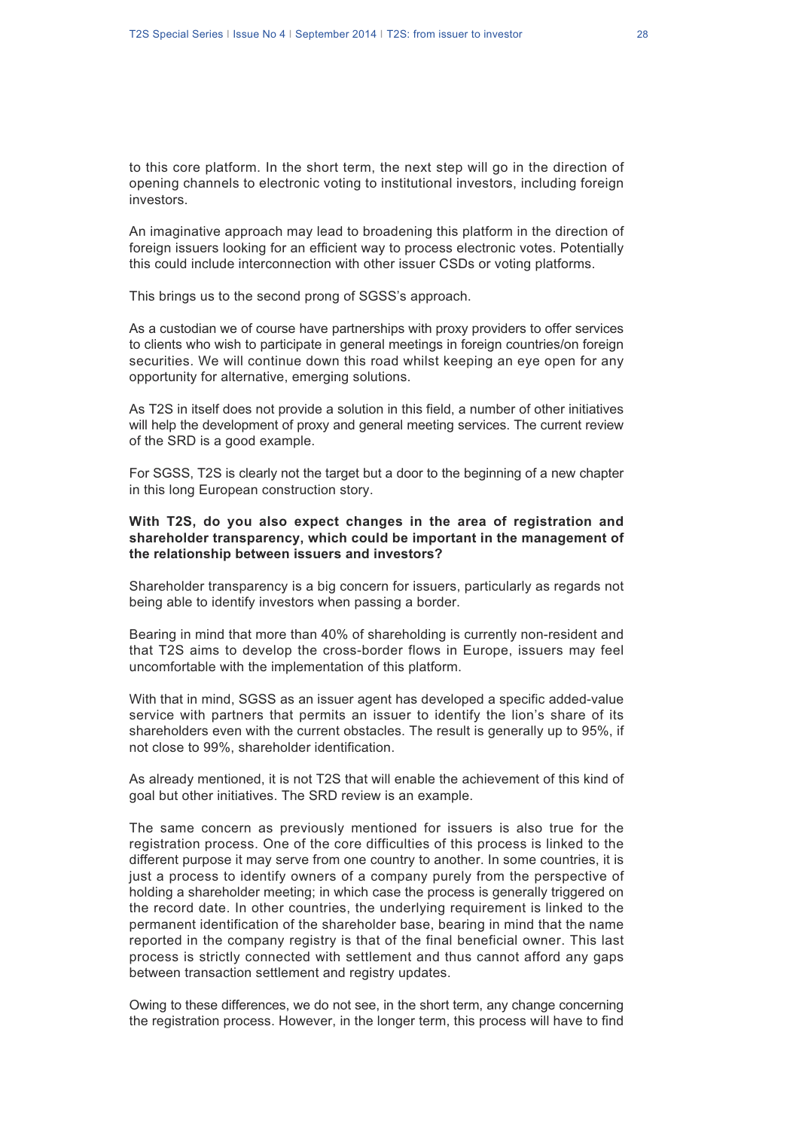to this core platform. In the short term, the next step will go in the direction of opening channels to electronic voting to institutional investors, including foreign investors.

An imaginative approach may lead to broadening this platform in the direction of foreign issuers looking for an efficient way to process electronic votes. Potentially this could include interconnection with other issuer CSDs or voting platforms.

This brings us to the second prong of SGSS's approach.

As a custodian we of course have partnerships with proxy providers to offer services to clients who wish to participate in general meetings in foreign countries/on foreign securities. We will continue down this road whilst keeping an eye open for any opportunity for alternative, emerging solutions.

As T2S in itself does not provide a solution in this field, a number of other initiatives will help the development of proxy and general meeting services. The current review of the SRD is a good example.

For SGSS, T2S is clearly not the target but a door to the beginning of a new chapter in this long European construction story.

### **With T2S, do you also expect changes in the area of registration and shareholder transparency, which could be important in the management of the relationship between issuers and investors?**

Shareholder transparency is a big concern for issuers, particularly as regards not being able to identify investors when passing a border.

Bearing in mind that more than 40% of shareholding is currently non-resident and that T2S aims to develop the cross-border flows in Europe, issuers may feel uncomfortable with the implementation of this platform.

With that in mind, SGSS as an issuer agent has developed a specific added-value service with partners that permits an issuer to identify the lion's share of its shareholders even with the current obstacles. The result is generally up to 95%, if not close to 99%, shareholder identification.

As already mentioned, it is not T2S that will enable the achievement of this kind of goal but other initiatives. The SRD review is an example.

The same concern as previously mentioned for issuers is also true for the registration process. One of the core difficulties of this process is linked to the different purpose it may serve from one country to another. In some countries, it is just a process to identify owners of a company purely from the perspective of holding a shareholder meeting; in which case the process is generally triggered on the record date. In other countries, the underlying requirement is linked to the permanent identification of the shareholder base, bearing in mind that the name reported in the company registry is that of the final beneficial owner. This last process is strictly connected with settlement and thus cannot afford any gaps between transaction settlement and registry updates.

Owing to these differences, we do not see, in the short term, any change concerning the registration process. However, in the longer term, this process will have to find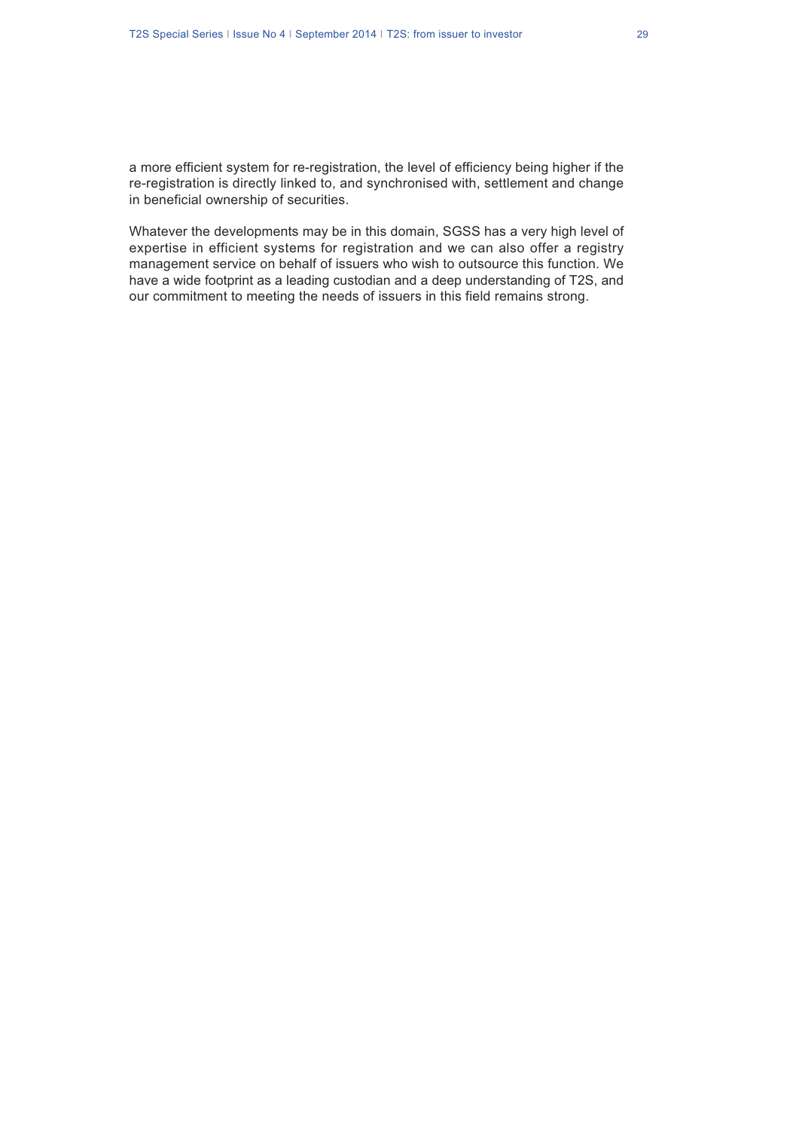Whatever the developments may be in this domain, SGSS has a very high level of expertise in efficient systems for registration and we can also offer a registry management service on behalf of issuers who wish to outsource this function. We have a wide footprint as a leading custodian and a deep understanding of T2S, and our commitment to meeting the needs of issuers in this field remains strong.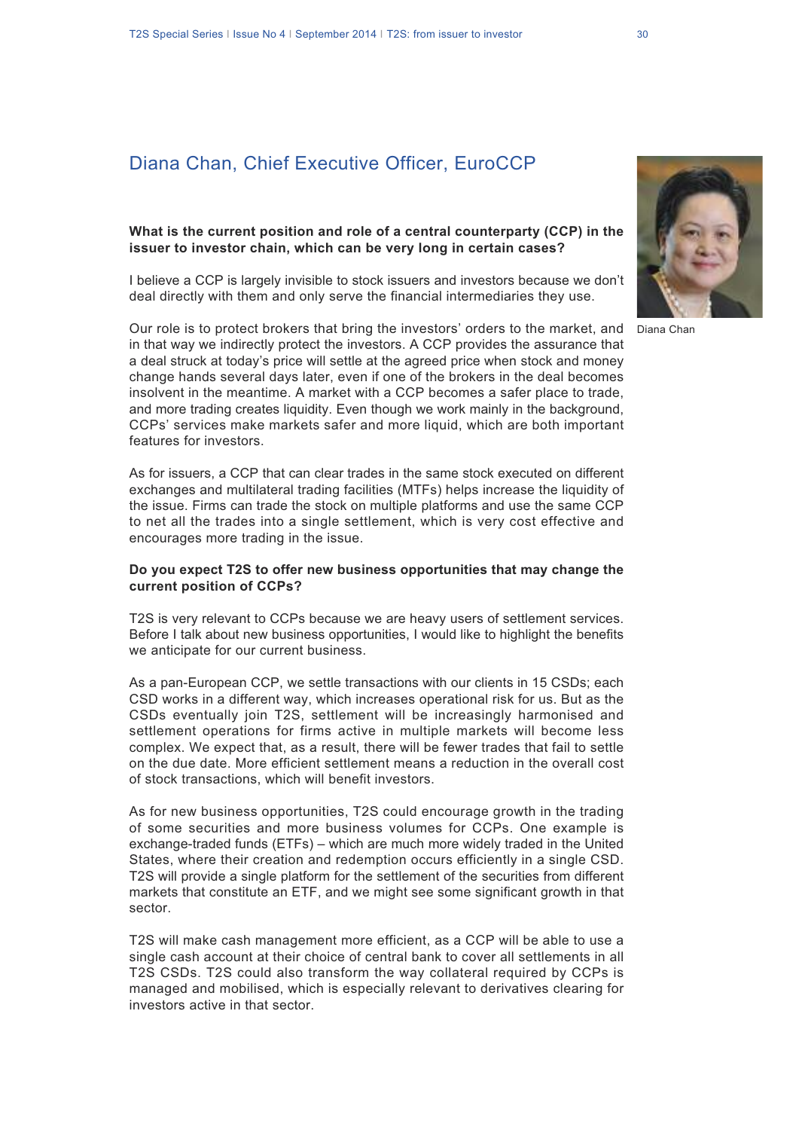# Diana Chan, Chief Executive Officer, EuroCCP

#### **What is the current position and role of a central counterparty (CCP) in the issuer to investor chain, which can be very long in certain cases?**

I believe a CCP is largely invisible to stock issuers and investors because we don't deal directly with them and only serve the financial intermediaries they use.

Our role is to protect brokers that bring the investors' orders to the market, and in that way we indirectly protect the investors. A CCP provides the assurance that a deal struck at today's price will settle at the agreed price when stock and money change hands several days later, even if one of the brokers in the deal becomes insolvent in the meantime. A market with a CCP becomes a safer place to trade, and more trading creates liquidity. Even though we work mainly in the background, CCPs' services make markets safer and more liquid, which are both important features for investors.

As for issuers, a CCP that can clear trades in the same stock executed on different exchanges and multilateral trading facilities (MTFs) helps increase the liquidity of the issue. Firms can trade the stock on multiple platforms and use the same CCP to net all the trades into a single settlement, which is very cost effective and encourages more trading in the issue.

### **Do you expect T2S to offer new business opportunities that may change the current position of CCPs?**

T2S is very relevant to CCPs because we are heavy users of settlement services. Before I talk about new business opportunities, I would like to highlight the benefits we anticipate for our current business.

As a pan-European CCP, we settle transactions with our clients in 15 CSDs; each CSD works in a different way, which increases operational risk for us. But as the CSDs eventually join T2S, settlement will be increasingly harmonised and settlement operations for firms active in multiple markets will become less complex. We expect that, as a result, there will be fewer trades that fail to settle on the due date. More efficient settlement means a reduction in the overall cost of stock transactions, which will benefit investors.

As for new business opportunities, T2S could encourage growth in the trading of some securities and more business volumes for CCPs. One example is exchange-traded funds (ETFs) – which are much more widely traded in the United States, where their creation and redemption occurs efficiently in a single CSD. T2S will provide a single platform for the settlement of the securities from different markets that constitute an ETF, and we might see some significant growth in that sector.

T2S will make cash management more efficient, as a CCP will be able to use a single cash account at their choice of central bank to cover all settlements in all T2S CSDs. T2S could also transform the way collateral required by CCPs is managed and mobilised, which is especially relevant to derivatives clearing for investors active in that sector.



Diana Chan